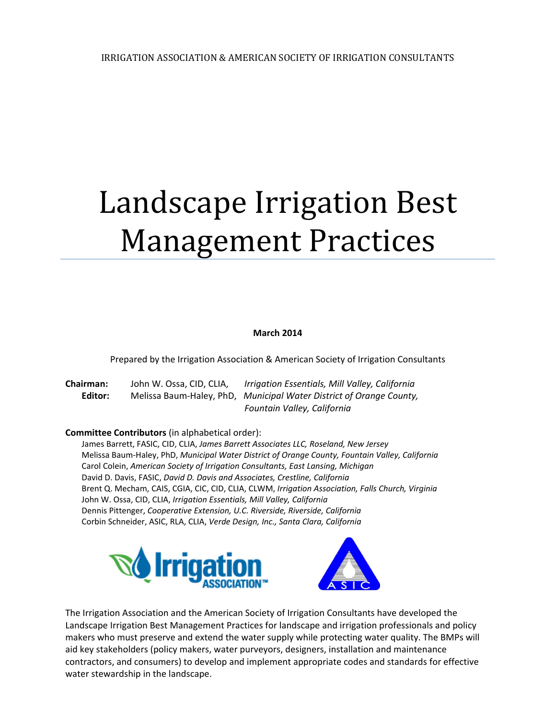# Landscape Irrigation Best **Management Practices**

#### **March 2014**

Prepared by the Irrigation Association & American Society of Irrigation Consultants

**Chairman:** John W. Ossa, CID, CLIA, *Irrigation Essentials, Mill Valley, California* **Editor:** Melissa Baum‐Haley, PhD, *Municipal Water District of Orange County,*  *Fountain Valley, California*

#### **Committee Contributors** (in alphabetical order):

James Barrett, FASIC, CID, CLIA, *James Barrett Associates LLC, Roseland, New Jersey* Melissa Baum‐Haley, PhD, *Municipal Water District of Orange County, Fountain Valley, California* Carol Colein, *American Society of Irrigation Consultants, East Lansing, Michigan* David D. Davis, FASIC, *David D. Davis and Associates, Crestline, California* Brent Q. Mecham, CAIS, CGIA, CIC, CID, CLIA, CLWM, *Irrigation Association, Falls Church, Virginia* John W. Ossa, CID, CLIA, *Irrigation Essentials, Mill Valley, California* Dennis Pittenger, *Cooperative Extension, U.C. Riverside, Riverside, California* Corbin Schneider, ASIC, RLA, CLIA, *Verde Design, Inc., Santa Clara, California*





The Irrigation Association and the American Society of Irrigation Consultants have developed the Landscape Irrigation Best Management Practices for landscape and irrigation professionals and policy makers who must preserve and extend the water supply while protecting water quality. The BMPs will aid key stakeholders (policy makers, water purveyors, designers, installation and maintenance contractors, and consumers) to develop and implement appropriate codes and standards for effective water stewardship in the landscape.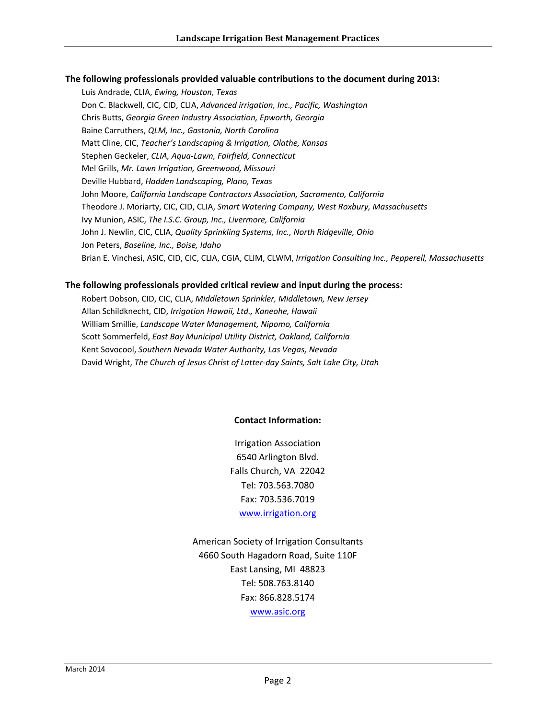#### **The following professionals provided valuable contributions to the document during 2013:**

Luis Andrade, CLIA, *Ewing, Houston, Texas* Don C. Blackwell, CIC, CID, CLIA, *Advanced irrigation, Inc., Pacific, Washington* Chris Butts, *Georgia Green Industry Association, Epworth, Georgia* Baine Carruthers, *QLM, Inc., Gastonia, North Carolina* Matt Cline, CIC, *Teacher's Landscaping & Irrigation, Olathe, Kansas* Stephen Geckeler, *CLIA, Aqua‐Lawn, Fairfield, Connecticut* Mel Grills, *Mr. Lawn Irrigation, Greenwood, Missouri* Deville Hubbard, *Hadden Landscaping, Plano, Texas* John Moore, *California Landscape Contractors Association, Sacramento, California* Theodore J. Moriarty, CIC, CID, CLIA, *Smart Watering Company, West Roxbury, Massachusetts* Ivy Munion, ASIC, *The I.S.C. Group, Inc., Livermore, California* John J. Newlin, CIC, CLIA, *Quality Sprinkling Systems, Inc., North Ridgeville, Ohio* Jon Peters, *Baseline, Inc., Boise, Idaho* Brian E. Vinchesi, ASIC, CID, CIC, CLIA, CGIA, CLIM, CLWM, *Irrigation Consulting Inc., Pepperell, Massachusetts*

#### **The following professionals provided critical review and input during the process:**

Robert Dobson, CID, CIC, CLIA, *Middletown Sprinkler, Middletown, New Jersey* Allan Schildknecht, CID, *Irrigation Hawaii, Ltd., Kaneohe, Hawaii* William Smillie, *Landscape Water Management, Nipomo, California* Scott Sommerfeld, *East Bay Municipal Utility District, Oakland, California* Kent Sovocool, *Southern Nevada Water Authority, Las Vegas, Nevada* David Wright, *The Church of Jesus Christ of Latter‐day Saints, Salt Lake City, Utah*

#### **Contact Information:**

Irrigation Association 6540 Arlington Blvd. Falls Church, VA 22042 Tel: 703.563.7080 Fax: 703.536.7019 www.irrigation.org

American Society of Irrigation Consultants 4660 South Hagadorn Road, Suite 110F East Lansing, MI 48823 Tel: 508.763.8140 Fax: 866.828.5174 www.asic.org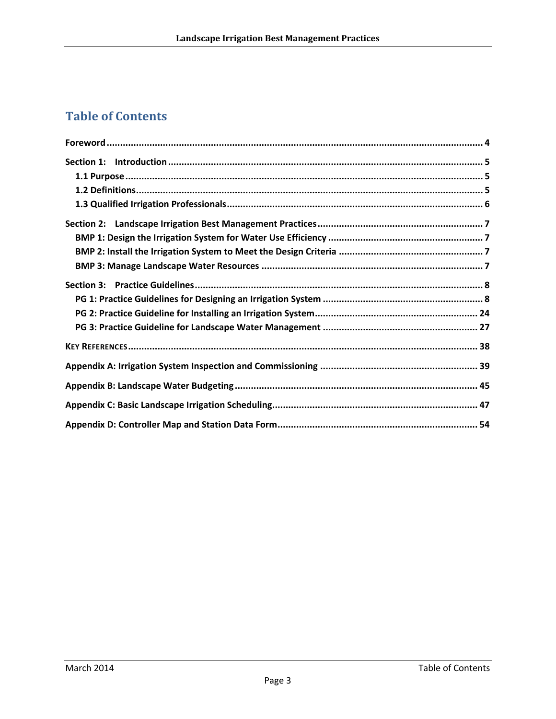# **Table of Contents**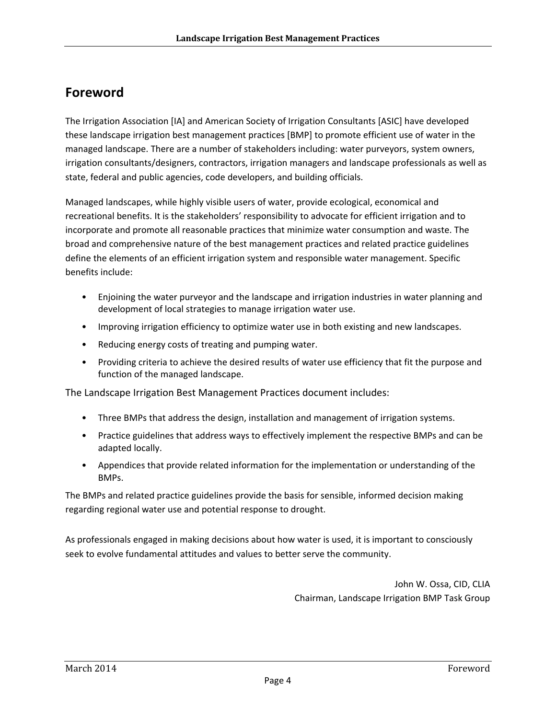# **Foreword**

The Irrigation Association [IA] and American Society of Irrigation Consultants [ASIC] have developed these landscape irrigation best management practices [BMP] to promote efficient use of water in the managed landscape. There are a number of stakeholders including: water purveyors, system owners, irrigation consultants/designers, contractors, irrigation managers and landscape professionals as well as state, federal and public agencies, code developers, and building officials.

Managed landscapes, while highly visible users of water, provide ecological, economical and recreational benefits. It is the stakeholders' responsibility to advocate for efficient irrigation and to incorporate and promote all reasonable practices that minimize water consumption and waste. The broad and comprehensive nature of the best management practices and related practice guidelines define the elements of an efficient irrigation system and responsible water management. Specific benefits include:

- Enjoining the water purveyor and the landscape and irrigation industries in water planning and development of local strategies to manage irrigation water use.
- Improving irrigation efficiency to optimize water use in both existing and new landscapes.
- Reducing energy costs of treating and pumping water.
- Providing criteria to achieve the desired results of water use efficiency that fit the purpose and function of the managed landscape.

The Landscape Irrigation Best Management Practices document includes:

- Three BMPs that address the design, installation and management of irrigation systems.
- Practice guidelines that address ways to effectively implement the respective BMPs and can be adapted locally.
- Appendices that provide related information for the implementation or understanding of the BMPs.

The BMPs and related practice guidelines provide the basis for sensible, informed decision making regarding regional water use and potential response to drought.

As professionals engaged in making decisions about how water is used, it is important to consciously seek to evolve fundamental attitudes and values to better serve the community.

> John W. Ossa, CID, CLIA Chairman, Landscape Irrigation BMP Task Group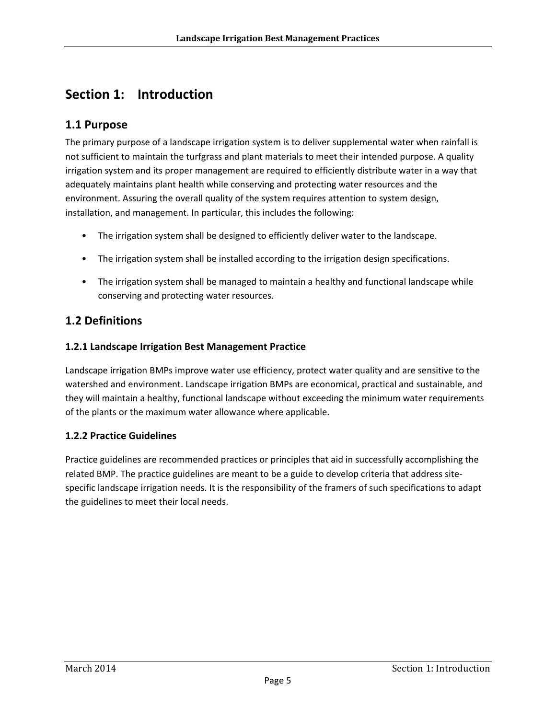# **Section 1: Introduction**

## **1.1 Purpose**

The primary purpose of a landscape irrigation system is to deliver supplemental water when rainfall is not sufficient to maintain the turfgrass and plant materials to meet their intended purpose. A quality irrigation system and its proper management are required to efficiently distribute water in a way that adequately maintains plant health while conserving and protecting water resources and the environment. Assuring the overall quality of the system requires attention to system design, installation, and management. In particular, this includes the following:

- The irrigation system shall be designed to efficiently deliver water to the landscape.
- The irrigation system shall be installed according to the irrigation design specifications.
- The irrigation system shall be managed to maintain a healthy and functional landscape while conserving and protecting water resources.

## **1.2 Definitions**

#### **1.2.1 Landscape Irrigation Best Management Practice**

Landscape irrigation BMPs improve water use efficiency, protect water quality and are sensitive to the watershed and environment. Landscape irrigation BMPs are economical, practical and sustainable, and they will maintain a healthy, functional landscape without exceeding the minimum water requirements of the plants or the maximum water allowance where applicable.

#### **1.2.2 Practice Guidelines**

Practice guidelines are recommended practices or principles that aid in successfully accomplishing the related BMP. The practice guidelines are meant to be a guide to develop criteria that address site‐ specific landscape irrigation needs. It is the responsibility of the framers of such specifications to adapt the guidelines to meet their local needs.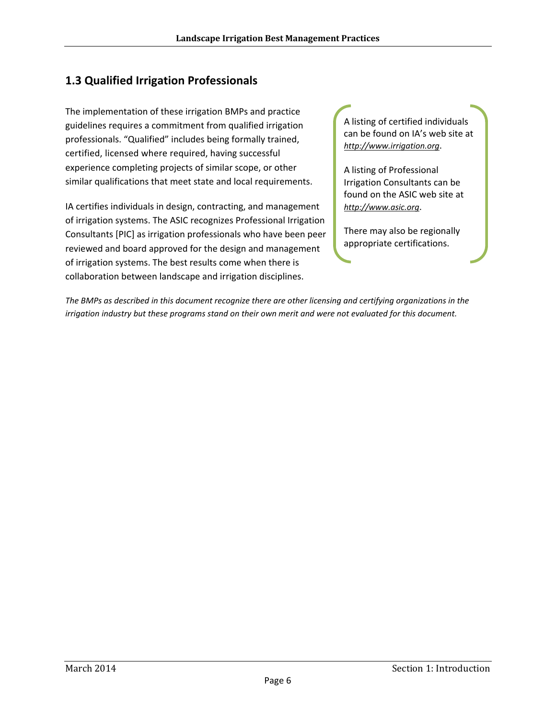## **1.3 Qualified Irrigation Professionals**

The implementation of these irrigation BMPs and practice guidelines requires a commitment from qualified irrigation professionals. "Qualified" includes being formally trained, certified, licensed where required, having successful experience completing projects of similar scope, or other similar qualifications that meet state and local requirements.

IA certifies individuals in design, contracting, and management of irrigation systems. The ASIC recognizes Professional Irrigation Consultants [PIC] as irrigation professionals who have been peer reviewed and board approved for the design and management of irrigation systems. The best results come when there is collaboration between landscape and irrigation disciplines.

A listing of certified individuals can be found on IA's web site at *http://www.irrigation.org*.

A listing of Professional Irrigation Consultants can be found on the ASIC web site at *http://www.asic.org*.

There may also be regionally appropriate certifications.

The BMPs as described in this document recognize there are other licensing and certifying organizations in the *irrigation industry but these programs stand on their own merit and were not evaluated for this document.*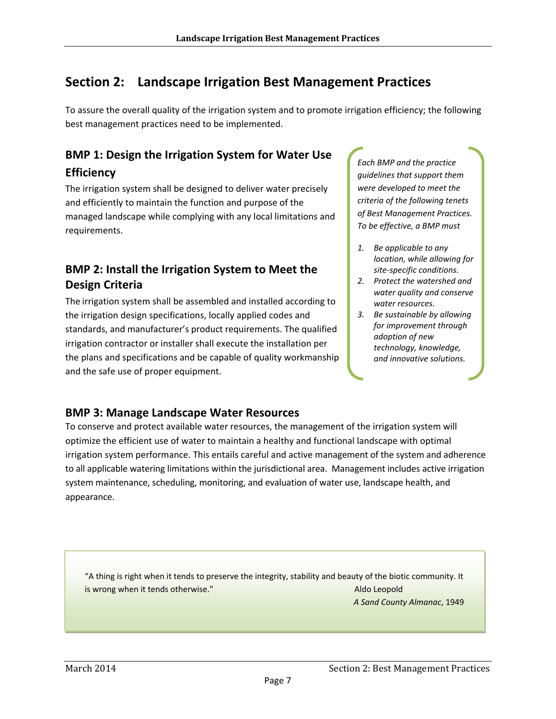# **Section 2: Landscape Irrigation Best Management Practices**

To assure the overall quality of the irrigation system and to promote irrigation efficiency; the following best management practices need to be implemented.

# **BMP 1: Design the Irrigation System for Water Use Efficiency**

The irrigation system shall be designed to deliver water precisely and efficiently to maintain the function and purpose of the managed landscape while complying with any local limitations and requirements.

## **BMP 2: Install the Irrigation System to Meet the Design Criteria**

The irrigation system shall be assembled and installed according to the irrigation design specifications, locally applied codes and standards, and manufacturer's product requirements. The qualified irrigation contractor or installer shall execute the installation per the plans and specifications and be capable of quality workmanship and the safe use of proper equipment.

*Each BMP and the practice guidelines that support them were developed to meet the criteria of the following tenets of Best Management Practices. To be effective, a BMP must*

- *1. Be applicable to any location, while allowing for site‐specific conditions.*
- *2. Protect the watershed and water quality and conserve water resources.*
- *3. Be sustainable by allowing for improvement through adoption of new technology, knowledge, and innovative solutions.*

## **BMP 3: Manage Landscape Water Resources**

To conserve and protect available water resources, the management of the irrigation system will optimize the efficient use of water to maintain a healthy and functional landscape with optimal irrigation system performance. This entails careful and active management of the system and adherence to all applicable watering limitations within the jurisdictional area. Management includes active irrigation system maintenance, scheduling, monitoring, and evaluation of water use, landscape health, and appearance.

"A thing is right when it tends to preserve the integrity, stability and beauty of the biotic community. It is wrong when it tends otherwise."  $\blacksquare$ 

*A Sand County Almanac*, 1949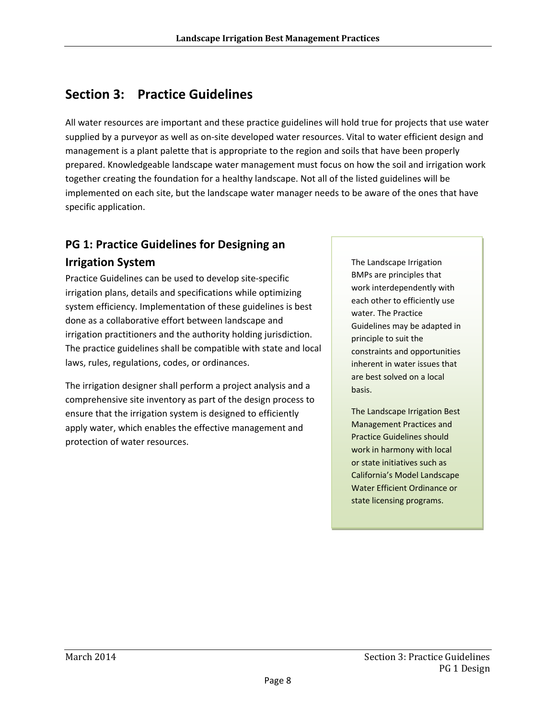# **Section 3: Practice Guidelines**

All water resources are important and these practice guidelines will hold true for projects that use water supplied by a purveyor as well as on‐site developed water resources. Vital to water efficient design and management is a plant palette that is appropriate to the region and soils that have been properly prepared. Knowledgeable landscape water management must focus on how the soil and irrigation work together creating the foundation for a healthy landscape. Not all of the listed guidelines will be implemented on each site, but the landscape water manager needs to be aware of the ones that have specific application.

# **PG 1: Practice Guidelines for Designing an Irrigation System**

Practice Guidelines can be used to develop site‐specific irrigation plans, details and specifications while optimizing system efficiency. Implementation of these guidelines is best done as a collaborative effort between landscape and irrigation practitioners and the authority holding jurisdiction. The practice guidelines shall be compatible with state and local laws, rules, regulations, codes, or ordinances.

The irrigation designer shall perform a project analysis and a comprehensive site inventory as part of the design process to ensure that the irrigation system is designed to efficiently apply water, which enables the effective management and protection of water resources.

The Landscape Irrigation BMPs are principles that work interdependently with each other to efficiently use water. The Practice Guidelines may be adapted in principle to suit the constraints and opportunities inherent in water issues that are best solved on a local basis.

The Landscape Irrigation Best Management Practices and Practice Guidelines should work in harmony with local or state initiatives such as California's Model Landscape Water Efficient Ordinance or state licensing programs.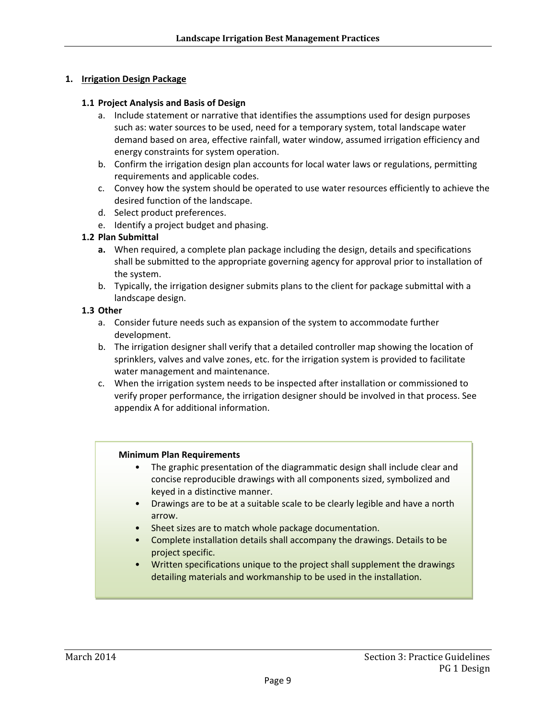#### **1. Irrigation Design Package**

#### **1.1 Project Analysis and Basis of Design**

- a. Include statement or narrative that identifies the assumptions used for design purposes such as: water sources to be used, need for a temporary system, total landscape water demand based on area, effective rainfall, water window, assumed irrigation efficiency and energy constraints for system operation.
- b. Confirm the irrigation design plan accounts for local water laws or regulations, permitting requirements and applicable codes.
- c. Convey how the system should be operated to use water resources efficiently to achieve the desired function of the landscape.
- d. Select product preferences.
- e. Identify a project budget and phasing.

#### **1.2 Plan Submittal**

- **a.** When required, a complete plan package including the design, details and specifications shall be submitted to the appropriate governing agency for approval prior to installation of the system.
- b. Typically, the irrigation designer submits plans to the client for package submittal with a landscape design.

#### **1.3 Other**

- a. Consider future needs such as expansion of the system to accommodate further development.
- b. The irrigation designer shall verify that a detailed controller map showing the location of sprinklers, valves and valve zones, etc. for the irrigation system is provided to facilitate water management and maintenance.
- c. When the irrigation system needs to be inspected after installation or commissioned to verify proper performance, the irrigation designer should be involved in that process. See appendix A for additional information.

#### **Minimum Plan Requirements**

- The graphic presentation of the diagrammatic design shall include clear and concise reproducible drawings with all components sized, symbolized and keyed in a distinctive manner.
- Drawings are to be at a suitable scale to be clearly legible and have a north arrow.
- Sheet sizes are to match whole package documentation.
- Complete installation details shall accompany the drawings. Details to be project specific.
- Written specifications unique to the project shall supplement the drawings detailing materials and workmanship to be used in the installation.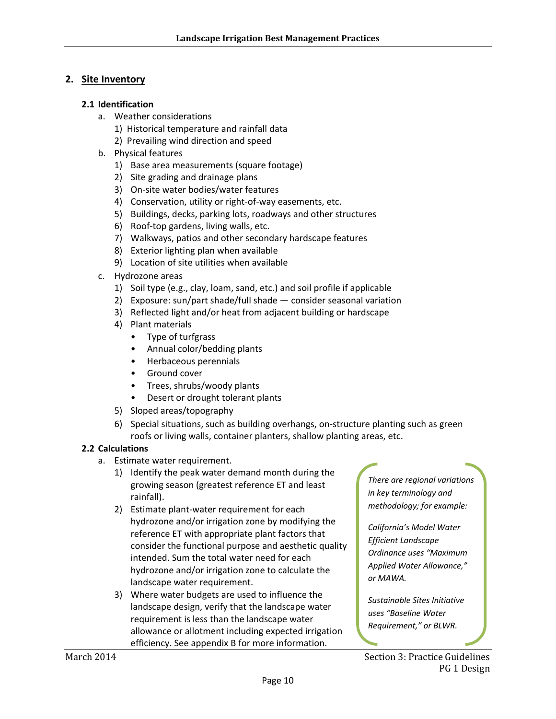#### **2. Site Inventory**

#### **2.1 Identification**

- a. Weather considerations
	- 1) Historical temperature and rainfall data
	- 2) Prevailing wind direction and speed
- b. Physical features
	- 1) Base area measurements (square footage)
	- 2) Site grading and drainage plans
	- 3) On‐site water bodies/water features
	- 4) Conservation, utility or right-of-way easements, etc.
	- 5) Buildings, decks, parking lots, roadways and other structures
	- 6) Roof‐top gardens, living walls, etc.
	- 7) Walkways, patios and other secondary hardscape features
	- 8) Exterior lighting plan when available
	- 9) Location of site utilities when available
- c. Hydrozone areas
	- 1) Soil type (e.g., clay, loam, sand, etc.) and soil profile if applicable
	- 2) Exposure: sun/part shade/full shade consider seasonal variation
	- 3) Reflected light and/or heat from adjacent building or hardscape
	- 4) Plant materials
		- Type of turfgrass
		- Annual color/bedding plants
		- Herbaceous perennials
		- Ground cover
		- Trees, shrubs/woody plants
		- Desert or drought tolerant plants
	- 5) Sloped areas/topography
	- 6) Special situations, such as building overhangs, on‐structure planting such as green roofs or living walls, container planters, shallow planting areas, etc.

#### **2.2 Calculations**

- a. Estimate water requirement.
	- 1) Identify the peak water demand month during the growing season (greatest reference ET and least rainfall).
	- 2) Estimate plant‐water requirement for each hydrozone and/or irrigation zone by modifying the reference ET with appropriate plant factors that consider the functional purpose and aesthetic quality intended. Sum the total water need for each hydrozone and/or irrigation zone to calculate the landscape water requirement.
	- 3) Where water budgets are used to influence the landscape design, verify that the landscape water requirement is less than the landscape water allowance or allotment including expected irrigation efficiency. See appendix B for more information.

*There are regional variations in key terminology and methodology; for example:*

*California's Model Water Efficient Landscape Ordinance uses "Maximum Applied Water Allowance," or MAWA.*

*Sustainable Sites Initiative uses "Baseline Water Requirement," or BLWR.*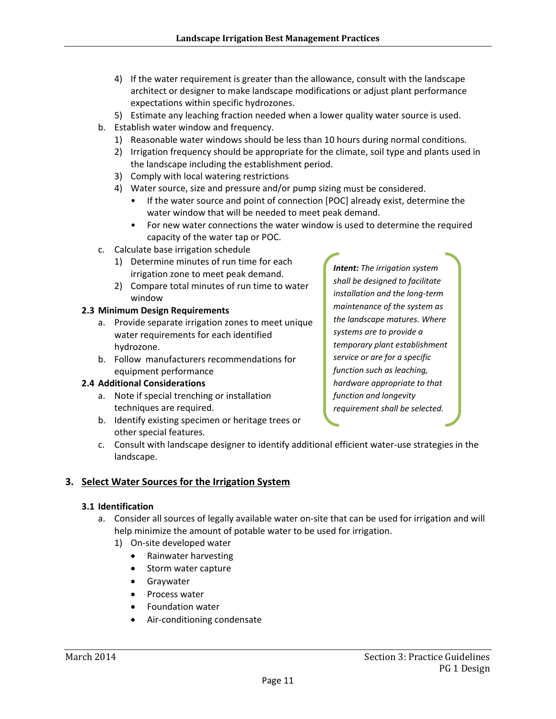- 4) If the water requirement is greater than the allowance, consult with the landscape architect or designer to make landscape modifications or adjust plant performance expectations within specific hydrozones.
- 5) Estimate any leaching fraction needed when a lower quality water source is used.
- b. Establish water window and frequency.
	- 1) Reasonable water windows should be less than 10 hours during normal conditions.
	- 2) Irrigation frequency should be appropriate for the climate, soil type and plants used in the landscape including the establishment period.
	- 3) Comply with local watering restrictions
	- 4) Water source, size and pressure and/or pump sizing must be considered.
		- If the water source and point of connection [POC] already exist, determine the water window that will be needed to meet peak demand.
		- For new water connections the water window is used to determine the required capacity of the water tap or POC.
- c. Calculate base irrigation schedule
	- 1) Determine minutes of run time for each irrigation zone to meet peak demand.
	- 2) Compare total minutes of run time to water window

#### **2.3 Minimum Design Requirements**

- a. Provide separate irrigation zones to meet unique water requirements for each identified hydrozone.
- b. Follow manufacturers recommendations for equipment performance

#### **2.4 Additional Considerations**

- a. Note if special trenching or installation techniques are required.
- b. Identify existing specimen or heritage trees or other special features.

*installation and the long‐term maintenance of the system as the landscape matures. Where systems are to provide a temporary plant establishment service or are for a specific function such as leaching, hardware appropriate to that function and longevity requirement shall be selected.*

*Intent: The irrigation system shall be designed to facilitate*

c. Consult with landscape designer to identify additional efficient water‐use strategies in the landscape.

#### **3. Select Water Sources for the Irrigation System**

#### **3.1 Identification**

- a. Consider all sources of legally available water on‐site that can be used for irrigation and will help minimize the amount of potable water to be used for irrigation.
	- 1) On‐site developed water
		- Rainwater harvesting
		- Storm water capture
		- Graywater
		- Process water
		- Foundation water
		- Air‐conditioning condensate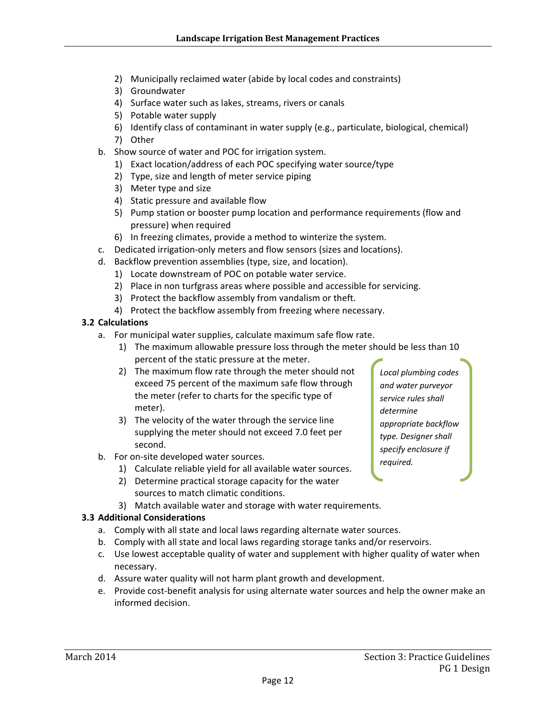- 2) Municipally reclaimed water (abide by local codes and constraints)
- 3) Groundwater
- 4) Surface water such as lakes, streams, rivers or canals
- 5) Potable water supply
- 6) Identify class of contaminant in water supply (e.g., particulate, biological, chemical)
- 7) Other
- b. Show source of water and POC for irrigation system.
	- 1) Exact location/address of each POC specifying water source/type
	- 2) Type, size and length of meter service piping
	- 3) Meter type and size
	- 4) Static pressure and available flow
	- 5) Pump station or booster pump location and performance requirements (flow and pressure) when required
	- 6) In freezing climates, provide a method to winterize the system.
- c. Dedicated irrigation‐only meters and flow sensors (sizes and locations).
- d. Backflow prevention assemblies (type, size, and location).
	- 1) Locate downstream of POC on potable water service.
	- 2) Place in non turfgrass areas where possible and accessible for servicing.
	- 3) Protect the backflow assembly from vandalism or theft.
	- 4) Protect the backflow assembly from freezing where necessary.

#### **3.2 Calculations**

- a. For municipal water supplies, calculate maximum safe flow rate.
	- 1) The maximum allowable pressure loss through the meter should be less than 10 percent of the static pressure at the meter.
	- 2) The maximum flow rate through the meter should not exceed 75 percent of the maximum safe flow through the meter (refer to charts for the specific type of meter).
	- 3) The velocity of the water through the service line supplying the meter should not exceed 7.0 feet per second.
- b. For on‐site developed water sources.
	- 1) Calculate reliable yield for all available water sources.
	- 2) Determine practical storage capacity for the water sources to match climatic conditions.
	- 3) Match available water and storage with water requirements.

#### **3.3 Additional Considerations**

- a. Comply with all state and local laws regarding alternate water sources.
- b. Comply with all state and local laws regarding storage tanks and/or reservoirs.
- c. Use lowest acceptable quality of water and supplement with higher quality of water when necessary.
- d. Assure water quality will not harm plant growth and development.
- e. Provide cost-benefit analysis for using alternate water sources and help the owner make an informed decision.

*Local plumbing codes and water purveyor service rules shall determine appropriate backflow type. Designer shall specify enclosure if required.*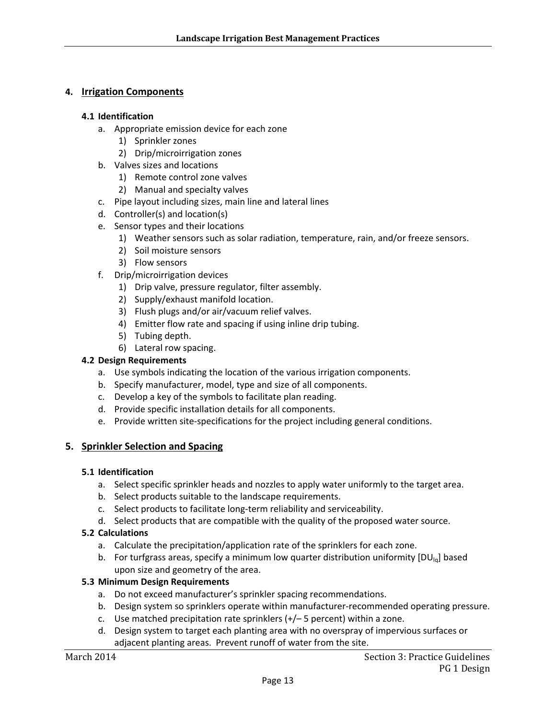#### **4. Irrigation Components**

#### **4.1 Identification**

- a. Appropriate emission device for each zone
	- 1) Sprinkler zones
	- 2) Drip/microirrigation zones
- b. Valves sizes and locations
	- 1) Remote control zone valves
	- 2) Manual and specialty valves
- c. Pipe layout including sizes, main line and lateral lines
- d. Controller(s) and location(s)
- e. Sensor types and their locations
	- 1) Weather sensors such as solar radiation, temperature, rain, and/or freeze sensors.
	- 2) Soil moisture sensors
	- 3) Flow sensors
- f. Drip/microirrigation devices
	- 1) Drip valve, pressure regulator, filter assembly.
	- 2) Supply/exhaust manifold location.
	- 3) Flush plugs and/or air/vacuum relief valves.
	- 4) Emitter flow rate and spacing if using inline drip tubing.
	- 5) Tubing depth.
	- 6) Lateral row spacing.

#### **4.2 Design Requirements**

- a. Use symbols indicating the location of the various irrigation components.
- b. Specify manufacturer, model, type and size of all components.
- c. Develop a key of the symbols to facilitate plan reading.
- d. Provide specific installation details for all components.
- e. Provide written site‐specifications for the project including general conditions.

#### **5. Sprinkler Selection and Spacing**

#### **5.1 Identification**

- a. Select specific sprinkler heads and nozzles to apply water uniformly to the target area.
- b. Select products suitable to the landscape requirements.
- c. Select products to facilitate long‐term reliability and serviceability.
- d. Select products that are compatible with the quality of the proposed water source.

#### **5.2 Calculations**

- a. Calculate the precipitation/application rate of the sprinklers for each zone.
- b. For turfgrass areas, specify a minimum low quarter distribution uniformity  $[DU_{\text{Iq}}]$  based upon size and geometry of the area.

#### **5.3 Minimum Design Requirements**

- a. Do not exceed manufacturer's sprinkler spacing recommendations.
- b. Design system so sprinklers operate within manufacturer‐recommended operating pressure.
- c. Use matched precipitation rate sprinklers (+/– 5 percent) within a zone.
- d. Design system to target each planting area with no overspray of impervious surfaces or adjacent planting areas. Prevent runoff of water from the site.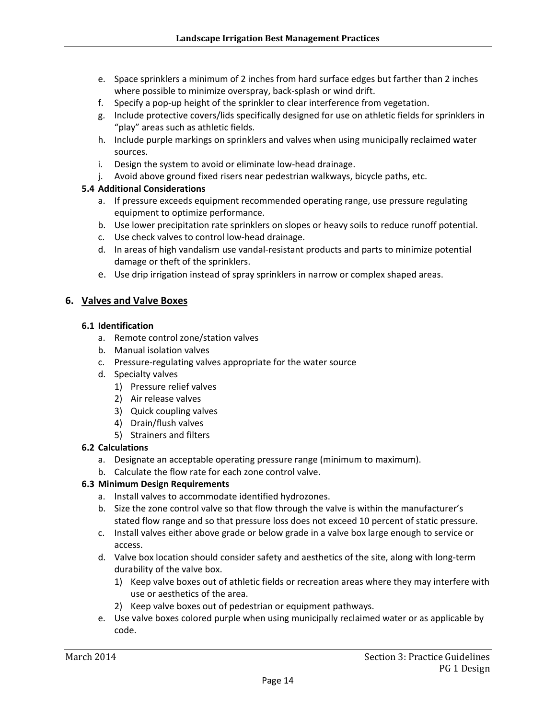- e. Space sprinklers a minimum of 2 inches from hard surface edges but farther than 2 inches where possible to minimize overspray, back‐splash or wind drift.
- f. Specify a pop-up height of the sprinkler to clear interference from vegetation.
- g. Include protective covers/lids specifically designed for use on athletic fields for sprinklers in "play" areas such as athletic fields.
- h. Include purple markings on sprinklers and valves when using municipally reclaimed water sources.
- i. Design the system to avoid or eliminate low-head drainage.
- j. Avoid above ground fixed risers near pedestrian walkways, bicycle paths, etc.

- a. If pressure exceeds equipment recommended operating range, use pressure regulating equipment to optimize performance.
- b. Use lower precipitation rate sprinklers on slopes or heavy soils to reduce runoff potential.
- c. Use check valves to control low‐head drainage.
- d. In areas of high vandalism use vandal‐resistant products and parts to minimize potential damage or theft of the sprinklers.
- e. Use drip irrigation instead of spray sprinklers in narrow or complex shaped areas.

#### **6. Valves and Valve Boxes**

#### **6.1 Identification**

- a. Remote control zone/station valves
- b. Manual isolation valves
- c. Pressure‐regulating valves appropriate for the water source
- d. Specialty valves
	- 1) Pressure relief valves
	- 2) Air release valves
	- 3) Quick coupling valves
	- 4) Drain/flush valves
	- 5) Strainers and filters

#### **6.2 Calculations**

- a. Designate an acceptable operating pressure range (minimum to maximum).
- b. Calculate the flow rate for each zone control valve.

#### **6.3 Minimum Design Requirements**

- a. Install valves to accommodate identified hydrozones.
- b. Size the zone control valve so that flow through the valve is within the manufacturer's stated flow range and so that pressure loss does not exceed 10 percent of static pressure.
- c. Install valves either above grade or below grade in a valve box large enough to service or access.
- d. Valve box location should consider safety and aesthetics of the site, along with long‐term durability of the valve box.
	- 1) Keep valve boxes out of athletic fields or recreation areas where they may interfere with use or aesthetics of the area.
	- 2) Keep valve boxes out of pedestrian or equipment pathways.
- e. Use valve boxes colored purple when using municipally reclaimed water or as applicable by code.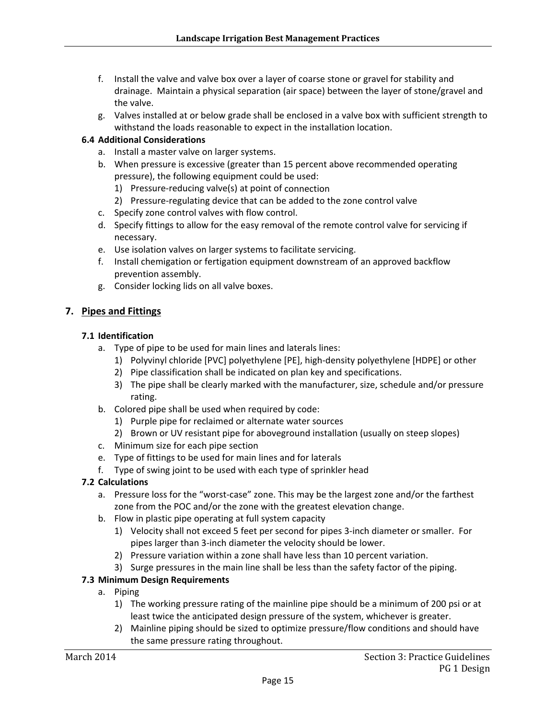- f. Install the valve and valve box over a layer of coarse stone or gravel for stability and drainage. Maintain a physical separation (air space) between the layer of stone/gravel and the valve.
- g. Valves installed at or below grade shall be enclosed in a valve box with sufficient strength to withstand the loads reasonable to expect in the installation location.

- a. Install a master valve on larger systems.
- b. When pressure is excessive (greater than 15 percent above recommended operating pressure), the following equipment could be used:
	- 1) Pressure‐reducing valve(s) at point of connection
	- 2) Pressure-regulating device that can be added to the zone control valve
- c. Specify zone control valves with flow control.
- d. Specify fittings to allow for the easy removal of the remote control valve for servicing if necessary.
- e. Use isolation valves on larger systems to facilitate servicing.
- f. Install chemigation or fertigation equipment downstream of an approved backflow prevention assembly.
- g. Consider locking lids on all valve boxes.

#### **7. Pipes and Fittings**

#### **7.1 Identification**

- a. Type of pipe to be used for main lines and laterals lines:
	- 1) Polyvinyl chloride [PVC] polyethylene [PE], high‐density polyethylene [HDPE] or other
	- 2) Pipe classification shall be indicated on plan key and specifications.
	- 3) The pipe shall be clearly marked with the manufacturer, size, schedule and/or pressure rating.
- b. Colored pipe shall be used when required by code:
	- 1) Purple pipe for reclaimed or alternate water sources
	- 2) Brown or UV resistant pipe for aboveground installation (usually on steep slopes)
- c. Minimum size for each pipe section
- e. Type of fittings to be used for main lines and for laterals
- f. Type of swing joint to be used with each type of sprinkler head

#### **7.2 Calculations**

- a. Pressure loss for the "worst-case" zone. This may be the largest zone and/or the farthest zone from the POC and/or the zone with the greatest elevation change.
- b. Flow in plastic pipe operating at full system capacity
	- 1) Velocity shall not exceed 5 feet per second for pipes 3‐inch diameter or smaller. For pipes larger than 3‐inch diameter the velocity should be lower.
	- 2) Pressure variation within a zone shall have less than 10 percent variation.
	- 3) Surge pressures in the main line shall be less than the safety factor of the piping.

#### **7.3 Minimum Design Requirements**

- a. Piping
	- 1) The working pressure rating of the mainline pipe should be a minimum of 200 psi or at least twice the anticipated design pressure of the system, whichever is greater.
	- 2) Mainline piping should be sized to optimize pressure/flow conditions and should have the same pressure rating throughout.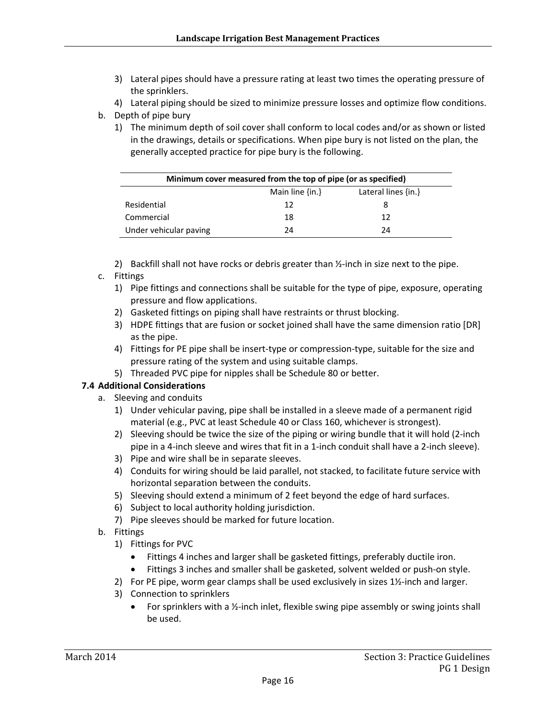- 3) Lateral pipes should have a pressure rating at least two times the operating pressure of the sprinklers.
- 4) Lateral piping should be sized to minimize pressure losses and optimize flow conditions.
- b. Depth of pipe bury
	- 1) The minimum depth of soil cover shall conform to local codes and/or as shown or listed in the drawings, details or specifications. When pipe bury is not listed on the plan, the generally accepted practice for pipe bury is the following.

| Minimum cover measured from the top of pipe (or as specified) |                     |                         |  |
|---------------------------------------------------------------|---------------------|-------------------------|--|
|                                                               | Main line $\{in.\}$ | Lateral lines $\{in.\}$ |  |
| Residential                                                   | 12                  |                         |  |
| Commercial                                                    | 18                  | 12                      |  |
| Under vehicular paving                                        | 74                  | 74                      |  |

- 2) Backfill shall not have rocks or debris greater than  $Y_2$ -inch in size next to the pipe.
- c. Fittings
	- 1) Pipe fittings and connections shall be suitable for the type of pipe, exposure, operating pressure and flow applications.
	- 2) Gasketed fittings on piping shall have restraints or thrust blocking.
	- 3) HDPE fittings that are fusion or socket joined shall have the same dimension ratio [DR] as the pipe.
	- 4) Fittings for PE pipe shall be insert-type or compression-type, suitable for the size and pressure rating of the system and using suitable clamps.
	- 5) Threaded PVC pipe for nipples shall be Schedule 80 or better.

- a. Sleeving and conduits
	- 1) Under vehicular paving, pipe shall be installed in a sleeve made of a permanent rigid material (e.g., PVC at least Schedule 40 or Class 160, whichever is strongest).
	- 2) Sleeving should be twice the size of the piping or wiring bundle that it will hold (2-inch pipe in a 4‐inch sleeve and wires that fit in a 1‐inch conduit shall have a 2‐inch sleeve).
	- 3) Pipe and wire shall be in separate sleeves.
	- 4) Conduits for wiring should be laid parallel, not stacked, to facilitate future service with horizontal separation between the conduits.
	- 5) Sleeving should extend a minimum of 2 feet beyond the edge of hard surfaces.
	- 6) Subject to local authority holding jurisdiction.
	- 7) Pipe sleeves should be marked for future location.
- b. Fittings
	- 1) Fittings for PVC
		- Fittings 4 inches and larger shall be gasketed fittings, preferably ductile iron.
		- Fittings 3 inches and smaller shall be gasketed, solvent welded or push‐on style.
	- 2) For PE pipe, worm gear clamps shall be used exclusively in sizes 1½-inch and larger.
	- 3) Connection to sprinklers
		- For sprinklers with a ½‐inch inlet, flexible swing pipe assembly or swing joints shall be used.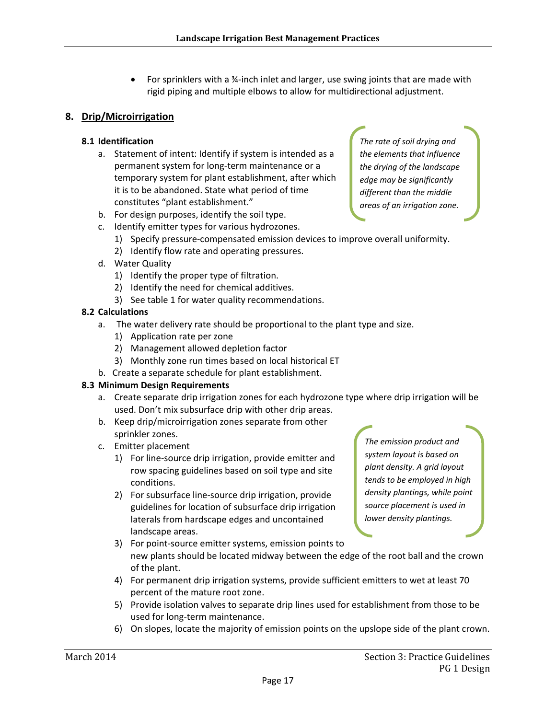For sprinklers with a ¾-inch inlet and larger, use swing joints that are made with rigid piping and multiple elbows to allow for multidirectional adjustment.

#### **8. Drip/Microirrigation**

#### **8.1 Identification**

a. Statement of intent: Identify if system is intended as a permanent system for long‐term maintenance or a temporary system for plant establishment, after which it is to be abandoned. State what period of time constitutes "plant establishment."

*The rate of soil drying and the elements that influence the drying of the landscape edge may be significantly different than the middle areas of an irrigation zone.*

- b. For design purposes, identify the soil type.
- c. Identify emitter types for various hydrozones.
	- 1) Specify pressure-compensated emission devices to improve overall uniformity.
	- 2) Identify flow rate and operating pressures.
- d. Water Quality
	- 1) Identify the proper type of filtration.
	- 2) Identify the need for chemical additives.
	- 3) See table 1 for water quality recommendations.

#### **8.2 Calculations**

- a. The water delivery rate should be proportional to the plant type and size.
	- 1) Application rate per zone
	- 2) Management allowed depletion factor
	- 3) Monthly zone run times based on local historical ET
- b. Create a separate schedule for plant establishment.

#### **8.3 Minimum Design Requirements**

- a. Create separate drip irrigation zones for each hydrozone type where drip irrigation will be used. Don't mix subsurface drip with other drip areas.
- b. Keep drip/microirrigation zones separate from other sprinkler zones.
- c. Emitter placement
	- 1) For line‐source drip irrigation, provide emitter and row spacing guidelines based on soil type and site conditions.
	- 2) For subsurface line-source drip irrigation, provide guidelines for location of subsurface drip irrigation laterals from hardscape edges and uncontained landscape areas.

*The emission product and system layout is based on plant density. A grid layout tends to be employed in high density plantings, while point source placement is used in lower density plantings.*

- 3) For point‐source emitter systems, emission points to new plants should be located midway between the edge of the root ball and the crown of the plant.
- 4) For permanent drip irrigation systems, provide sufficient emitters to wet at least 70 percent of the mature root zone.
- 5) Provide isolation valves to separate drip lines used for establishment from those to be used for long‐term maintenance.
- 6) On slopes, locate the majority of emission points on the upslope side of the plant crown.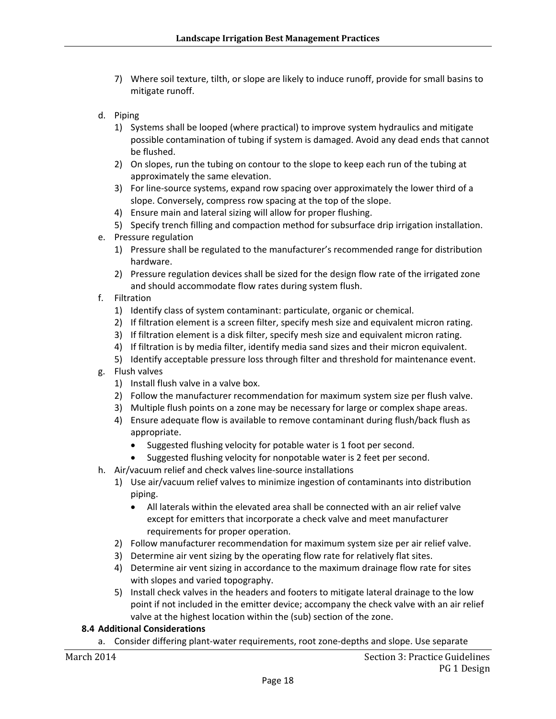- 7) Where soil texture, tilth, or slope are likely to induce runoff, provide for small basins to mitigate runoff.
- d. Piping
	- 1) Systems shall be looped (where practical) to improve system hydraulics and mitigate possible contamination of tubing if system is damaged. Avoid any dead ends that cannot be flushed.
	- 2) On slopes, run the tubing on contour to the slope to keep each run of the tubing at approximately the same elevation.
	- 3) For line‐source systems, expand row spacing over approximately the lower third of a slope. Conversely, compress row spacing at the top of the slope.
	- 4) Ensure main and lateral sizing will allow for proper flushing.
	- 5) Specify trench filling and compaction method for subsurface drip irrigation installation.
- e. Pressure regulation
	- 1) Pressure shall be regulated to the manufacturer's recommended range for distribution hardware.
	- 2) Pressure regulation devices shall be sized for the design flow rate of the irrigated zone and should accommodate flow rates during system flush.
- f. Filtration
	- 1) Identify class of system contaminant: particulate, organic or chemical.
	- 2) If filtration element is a screen filter, specify mesh size and equivalent micron rating.
	- 3) If filtration element is a disk filter, specify mesh size and equivalent micron rating.
	- 4) If filtration is by media filter, identify media sand sizes and their micron equivalent.
	- 5) Identify acceptable pressure loss through filter and threshold for maintenance event.
- g. Flush valves
	- 1) Install flush valve in a valve box.
	- 2) Follow the manufacturer recommendation for maximum system size per flush valve.
	- 3) Multiple flush points on a zone may be necessary for large or complex shape areas.
	- 4) Ensure adequate flow is available to remove contaminant during flush/back flush as appropriate.
		- Suggested flushing velocity for potable water is 1 foot per second.
		- Suggested flushing velocity for nonpotable water is 2 feet per second.
- h. Air/vacuum relief and check valves line‐source installations
	- 1) Use air/vacuum relief valves to minimize ingestion of contaminants into distribution piping.
		- All laterals within the elevated area shall be connected with an air relief valve except for emitters that incorporate a check valve and meet manufacturer requirements for proper operation.
	- 2) Follow manufacturer recommendation for maximum system size per air relief valve.
	- 3) Determine air vent sizing by the operating flow rate for relatively flat sites.
	- 4) Determine air vent sizing in accordance to the maximum drainage flow rate for sites with slopes and varied topography.
	- 5) Install check valves in the headers and footers to mitigate lateral drainage to the low point if not included in the emitter device; accompany the check valve with an air relief valve at the highest location within the (sub) section of the zone.

a. Consider differing plant‐water requirements, root zone‐depths and slope. Use separate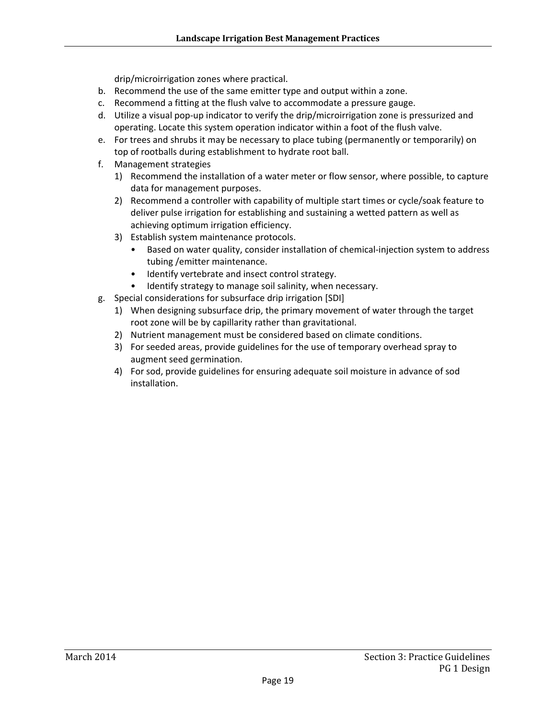drip/microirrigation zones where practical.

- b. Recommend the use of the same emitter type and output within a zone.
- c. Recommend a fitting at the flush valve to accommodate a pressure gauge.
- d. Utilize a visual pop-up indicator to verify the drip/microirrigation zone is pressurized and operating. Locate this system operation indicator within a foot of the flush valve.
- e. For trees and shrubs it may be necessary to place tubing (permanently or temporarily) on top of rootballs during establishment to hydrate root ball.
- f. Management strategies
	- 1) Recommend the installation of a water meter or flow sensor, where possible, to capture data for management purposes.
	- 2) Recommend a controller with capability of multiple start times or cycle/soak feature to deliver pulse irrigation for establishing and sustaining a wetted pattern as well as achieving optimum irrigation efficiency.
	- 3) Establish system maintenance protocols.
		- Based on water quality, consider installation of chemical-injection system to address tubing /emitter maintenance.
		- Identify vertebrate and insect control strategy.
		- Identify strategy to manage soil salinity, when necessary.
- g. Special considerations for subsurface drip irrigation [SDI]
	- 1) When designing subsurface drip, the primary movement of water through the target root zone will be by capillarity rather than gravitational.
	- 2) Nutrient management must be considered based on climate conditions.
	- 3) For seeded areas, provide guidelines for the use of temporary overhead spray to augment seed germination.
	- 4) For sod, provide guidelines for ensuring adequate soil moisture in advance of sod installation.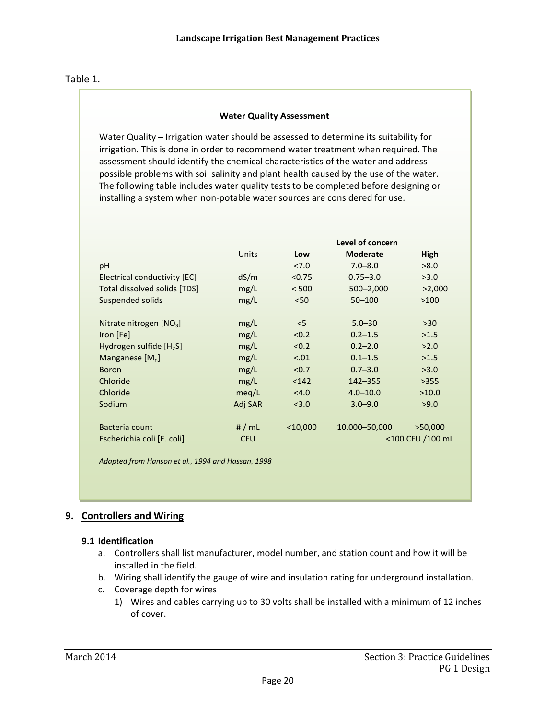#### Table 1.

#### **Water Quality Assessment**

Water Quality – Irrigation water should be assessed to determine its suitability for irrigation. This is done in order to recommend water treatment when required. The assessment should identify the chemical characteristics of the water and address possible problems with soil salinity and plant health caused by the use of the water. The following table includes water quality tests to be completed before designing or installing a system when non‐potable water sources are considered for use.

|                                                   |            | Level of concern |                  |         |  |
|---------------------------------------------------|------------|------------------|------------------|---------|--|
|                                                   | Units      | Low              | <b>Moderate</b>  | High    |  |
| рH                                                |            | 27.0             | $7.0 - 8.0$      | >8.0    |  |
| Electrical conductivity [EC]                      | dS/m       | < 0.75           | $0.75 - 3.0$     | >3.0    |  |
| <b>Total dissolved solids [TDS]</b>               | mg/L       | < 500            | $500 - 2,000$    | >2,000  |  |
| Suspended solids                                  | mg/L       | < 50             | $50 - 100$       | >100    |  |
|                                                   |            |                  |                  |         |  |
| Nitrate nitrogen $[NO3]$                          | mg/L       | $<$ 5            | $5.0 - 30$       | $>30$   |  |
| Iron [Fe]                                         | mg/L       | < 0.2            | $0.2 - 1.5$      | >1.5    |  |
| Hydrogen sulfide $[H_2S]$                         | mg/L       | < 0.2            | $0.2 - 2.0$      | >2.0    |  |
| Manganese $[M_n]$                                 | mg/L       | < .01            | $0.1 - 1.5$      | >1.5    |  |
| <b>Boron</b>                                      | mg/L       | < 0.7            | $0.7 - 3.0$      | >3.0    |  |
| Chloride                                          | mg/L       | $142$            | $142 - 355$      | >355    |  |
| Chloride                                          | meq/L      | < 4.0            | $4.0 - 10.0$     | >10.0   |  |
| Sodium                                            | Adj SAR    | < 3.0            | $3.0 - 9.0$      | >9.0    |  |
|                                                   |            |                  |                  |         |  |
| Bacteria count                                    | # $/mL$    | $<$ 10,000       | 10,000-50,000    | >50,000 |  |
| Escherichia coli [E. coli]                        | <b>CFU</b> |                  | <100 CFU /100 mL |         |  |
|                                                   |            |                  |                  |         |  |
| Adapted from Hanson et al., 1994 and Hassan, 1998 |            |                  |                  |         |  |

#### **9. Controllers and Wiring**

#### **9.1 Identification**

- a. Controllers shall list manufacturer, model number, and station count and how it will be installed in the field.
- b. Wiring shall identify the gauge of wire and insulation rating for underground installation.
- c. Coverage depth for wires
	- 1) Wires and cables carrying up to 30 volts shall be installed with a minimum of 12 inches of cover.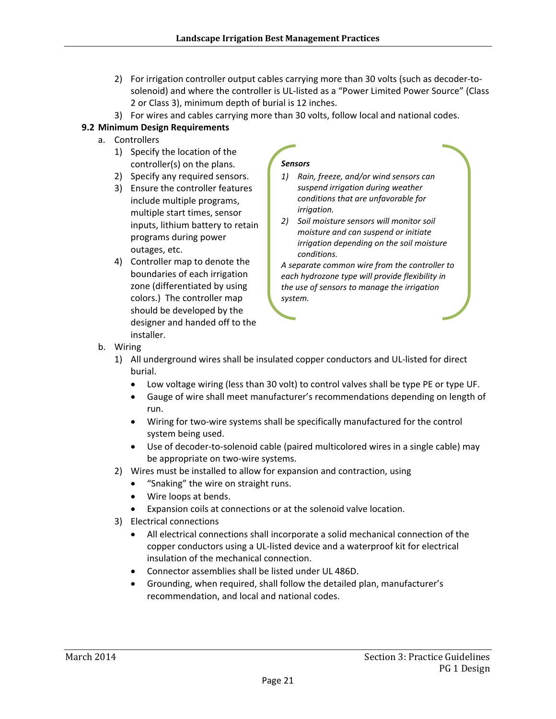- 2) For irrigation controller output cables carrying more than 30 volts (such as decoder-tosolenoid) and where the controller is UL‐listed as a "Power Limited Power Source" (Class 2 or Class 3), minimum depth of burial is 12 inches.
- 3) For wires and cables carrying more than 30 volts, follow local and national codes.

#### **9.2 Minimum Design Requirements**

- a. Controllers
	- 1) Specify the location of the controller(s) on the plans.
	- 2) Specify any required sensors.
	- 3) Ensure the controller features include multiple programs, multiple start times, sensor inputs, lithium battery to retain programs during power outages, etc.
	- 4) Controller map to denote the boundaries of each irrigation zone (differentiated by using colors.) The controller map should be developed by the designer and handed off to the installer.

#### *Sensors*

- *1) Rain, freeze, and/or wind sensors can suspend irrigation during weather conditions that are unfavorable for irrigation.*
- *2) Soil moisture sensors will monitor soil moisture and can suspend or initiate irrigation depending on the soil moisture conditions.*

*A separate common wire from the controller to each hydrozone type will provide flexibility in the use of sensors to manage the irrigation system.*

- b. Wiring
	- 1) All underground wires shall be insulated copper conductors and UL‐listed for direct burial.
		- Low voltage wiring (less than 30 volt) to control valves shall be type PE or type UF.
		- Gauge of wire shall meet manufacturer's recommendations depending on length of run.
		- Wiring for two-wire systems shall be specifically manufactured for the control system being used.
		- Use of decoder-to-solenoid cable (paired multicolored wires in a single cable) may be appropriate on two‐wire systems.
	- 2) Wires must be installed to allow for expansion and contraction, using
		- "Snaking" the wire on straight runs.
		- Wire loops at bends.
		- Expansion coils at connections or at the solenoid valve location.
	- 3) Electrical connections
		- All electrical connections shall incorporate a solid mechanical connection of the copper conductors using a UL‐listed device and a waterproof kit for electrical insulation of the mechanical connection.
		- Connector assemblies shall be listed under UL 486D.
		- Grounding, when required, shall follow the detailed plan, manufacturer's recommendation, and local and national codes.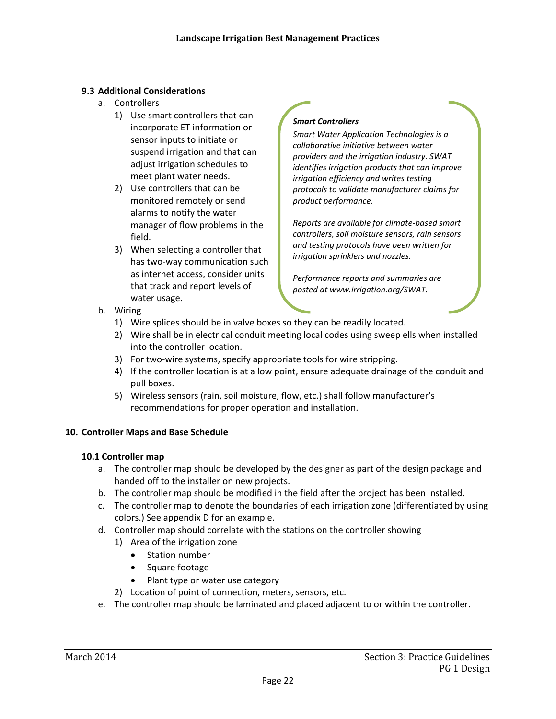- a. Controllers
	- 1) Use smart controllers that can incorporate ET information or sensor inputs to initiate or suspend irrigation and that can adjust irrigation schedules to meet plant water needs.
	- 2) Use controllers that can be monitored remotely or send alarms to notify the water manager of flow problems in the field.
	- 3) When selecting a controller that has two‐way communication such as internet access, consider units that track and report levels of water usage.

#### *Smart Controllers*

*Smart Water Application Technologies is a collaborative initiative between water providers and the irrigation industry. SWAT identifies irrigation products that can improve irrigation efficiency and writes testing protocols to validate manufacturer claims for product performance.*

*Reports are available for climate‐based smart controllers, soil moisture sensors, rain sensors and testing protocols have been written for irrigation sprinklers and nozzles.*

*Performance reports and summaries are posted at www.irrigation.org/SWAT.* 

- b. Wiring
	- 1) Wire splices should be in valve boxes so they can be readily located.
	- 2) Wire shall be in electrical conduit meeting local codes using sweep ells when installed into the controller location.
	- 3) For two-wire systems, specify appropriate tools for wire stripping.
	- 4) If the controller location is at a low point, ensure adequate drainage of the conduit and pull boxes.
	- 5) Wireless sensors (rain, soil moisture, flow, etc.) shall follow manufacturer's recommendations for proper operation and installation.

#### **10. Controller Maps and Base Schedule**

#### **10.1 Controller map**

- a. The controller map should be developed by the designer as part of the design package and handed off to the installer on new projects.
- b. The controller map should be modified in the field after the project has been installed.
- c. The controller map to denote the boundaries of each irrigation zone (differentiated by using colors.) See appendix D for an example.
- d. Controller map should correlate with the stations on the controller showing
	- 1) Area of the irrigation zone
		- Station number
		- Square footage
		- Plant type or water use category
	- 2) Location of point of connection, meters, sensors, etc.
- e. The controller map should be laminated and placed adjacent to or within the controller.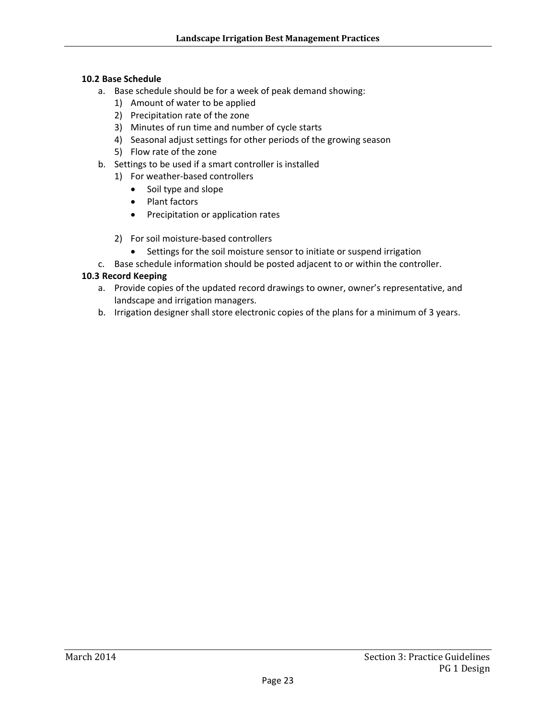#### **10.2 Base Schedule**

- a. Base schedule should be for a week of peak demand showing:
	- 1) Amount of water to be applied
	- 2) Precipitation rate of the zone
	- 3) Minutes of run time and number of cycle starts
	- 4) Seasonal adjust settings for other periods of the growing season
	- 5) Flow rate of the zone
- b. Settings to be used if a smart controller is installed
	- 1) For weather‐based controllers
		- Soil type and slope
		- Plant factors
		- Precipitation or application rates
	- 2) For soil moisture‐based controllers
	- Settings for the soil moisture sensor to initiate or suspend irrigation
- c. Base schedule information should be posted adjacent to or within the controller.

#### **10.3 Record Keeping**

- a. Provide copies of the updated record drawings to owner, owner's representative, and landscape and irrigation managers.
- b. Irrigation designer shall store electronic copies of the plans for a minimum of 3 years.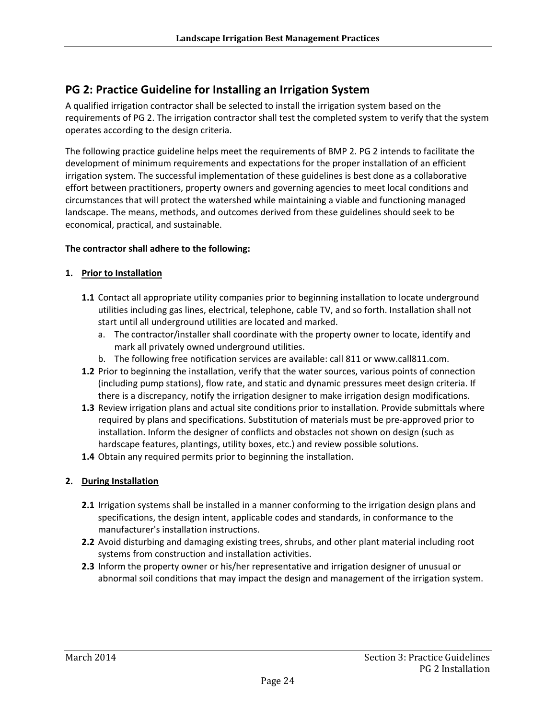## **PG 2: Practice Guideline for Installing an Irrigation System**

A qualified irrigation contractor shall be selected to install the irrigation system based on the requirements of PG 2. The irrigation contractor shall test the completed system to verify that the system operates according to the design criteria.

The following practice guideline helps meet the requirements of BMP 2. PG 2 intends to facilitate the development of minimum requirements and expectations for the proper installation of an efficient irrigation system. The successful implementation of these guidelines is best done as a collaborative effort between practitioners, property owners and governing agencies to meet local conditions and circumstances that will protect the watershed while maintaining a viable and functioning managed landscape. The means, methods, and outcomes derived from these guidelines should seek to be economical, practical, and sustainable.

#### **The contractor shall adhere to the following:**

#### **1. Prior to Installation**

- **1.1** Contact all appropriate utility companies prior to beginning installation to locate underground utilities including gas lines, electrical, telephone, cable TV, and so forth. Installation shall not start until all underground utilities are located and marked.
	- a. The contractor/installer shall coordinate with the property owner to locate, identify and mark all privately owned underground utilities.
	- b. The following free notification services are available: call 811 or www.call811.com.
- **1.2** Prior to beginning the installation, verify that the water sources, various points of connection (including pump stations), flow rate, and static and dynamic pressures meet design criteria. If there is a discrepancy, notify the irrigation designer to make irrigation design modifications.
- **1.3** Review irrigation plans and actual site conditions prior to installation. Provide submittals where required by plans and specifications. Substitution of materials must be pre‐approved prior to installation. Inform the designer of conflicts and obstacles not shown on design (such as hardscape features, plantings, utility boxes, etc.) and review possible solutions.
- **1.4** Obtain any required permits prior to beginning the installation.

#### **2. During Installation**

- **2.1** Irrigation systems shall be installed in a manner conforming to the irrigation design plans and specifications, the design intent, applicable codes and standards, in conformance to the manufacturer's installation instructions.
- **2.2** Avoid disturbing and damaging existing trees, shrubs, and other plant material including root systems from construction and installation activities.
- **2.3** Inform the property owner or his/her representative and irrigation designer of unusual or abnormal soil conditions that may impact the design and management of the irrigation system.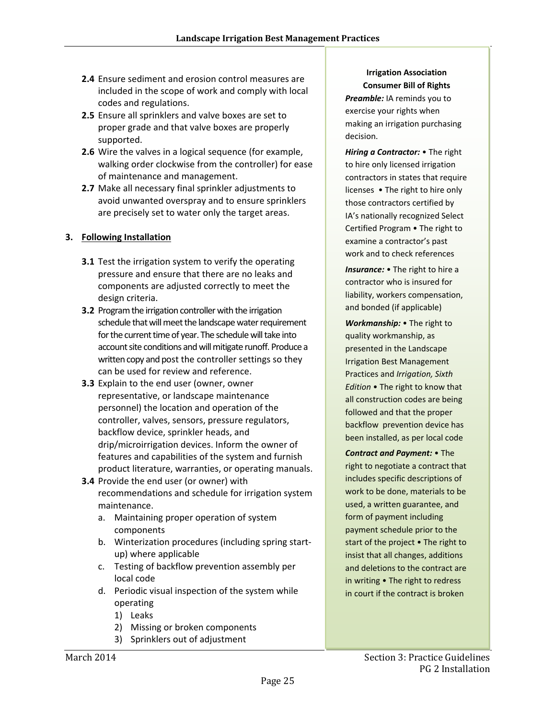- **2.4** Ensure sediment and erosion control measures are included in the scope of work and comply with local codes and regulations.
- **2.5** Ensure all sprinklers and valve boxes are set to proper grade and that valve boxes are properly supported.
- **2.6** Wire the valves in a logical sequence (for example, walking order clockwise from the controller) for ease of maintenance and management.
- **2.7** Make all necessary final sprinkler adjustments to avoid unwanted overspray and to ensure sprinklers are precisely set to water only the target areas.

#### **3. Following Installation**

- **3.1** Test the irrigation system to verify the operating pressure and ensure that there are no leaks and components are adjusted correctly to meet the design criteria.
- **3.2** Program the irrigation controller with the irrigation schedule that will meet the landscape water requirement for the current time of year. The schedule will take into account site conditions and will mitigate runoff. Produce a written copy and post the controller settings so they can be used for review and reference.
- **3.3** Explain to the end user (owner, owner representative, or landscape maintenance personnel) the location and operation of the controller, valves, sensors, pressure regulators, backflow device, sprinkler heads, and drip/microirrigation devices. Inform the owner of features and capabilities of the system and furnish product literature, warranties, or operating manuals.
- **3.4** Provide the end user (or owner) with recommendations and schedule for irrigation system maintenance.
	- a. Maintaining proper operation of system components
	- b. Winterization procedures (including spring start‐ up) where applicable
	- c. Testing of backflow prevention assembly per local code
	- d. Periodic visual inspection of the system while operating
		- 1) Leaks
		- 2) Missing or broken components
		- 3) Sprinklers out of adjustment

#### **Irrigation Association Consumer Bill of Rights**

*Preamble:* IA reminds you to exercise your rights when making an irrigation purchasing decision.

*Hiring a Contractor:* • The right to hire only licensed irrigation contractors in states that require licenses • The right to hire only those contractors certified by IA's nationally recognized Select Certified Program • The right to examine a contractor's past work and to check references

*Insurance:* • The right to hire a contractor who is insured for liability, workers compensation, and bonded (if applicable)

*Workmanship:* • The right to quality workmanship, as presented in the Landscape Irrigation Best Management Practices and *Irrigation, Sixth Edition* • The right to know that all construction codes are being followed and that the proper backflow prevention device has been installed, as per local code

*Contract and Payment:* • The right to negotiate a contract that includes specific descriptions of work to be done, materials to be used, a written guarantee, and form of payment including payment schedule prior to the start of the project • The right to insist that all changes, additions and deletions to the contract are in writing • The right to redress in court if the contract is broken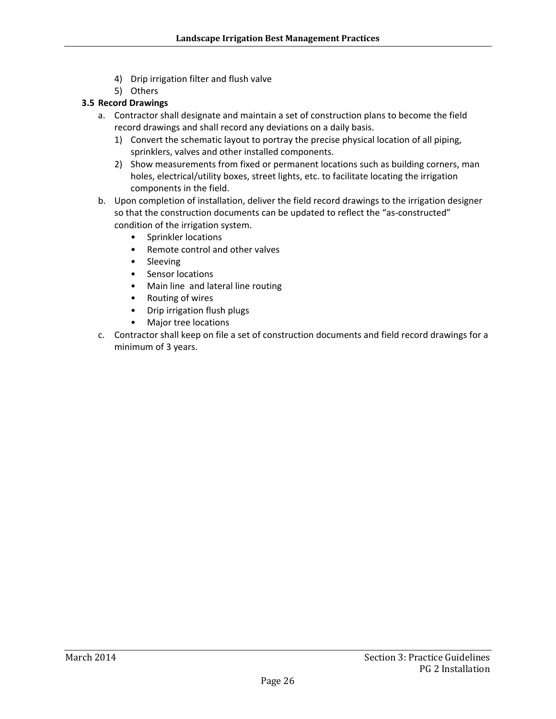- 4) Drip irrigation filter and flush valve
- 5) Others

#### **3.5 Record Drawings**

- a. Contractor shall designate and maintain a set of construction plans to become the field record drawings and shall record any deviations on a daily basis.
	- 1) Convert the schematic layout to portray the precise physical location of all piping, sprinklers, valves and other installed components.
	- 2) Show measurements from fixed or permanent locations such as building corners, man holes, electrical/utility boxes, street lights, etc. to facilitate locating the irrigation components in the field.
- b. Upon completion of installation, deliver the field record drawings to the irrigation designer so that the construction documents can be updated to reflect the "as-constructed" condition of the irrigation system.
	- Sprinkler locations
		- Remote control and other valves
	- Sleeving
	- Sensor locations
	- Main line and lateral line routing
	- Routing of wires
	- Drip irrigation flush plugs
	- Major tree locations
- c. Contractor shall keep on file a set of construction documents and field record drawings for a minimum of 3 years.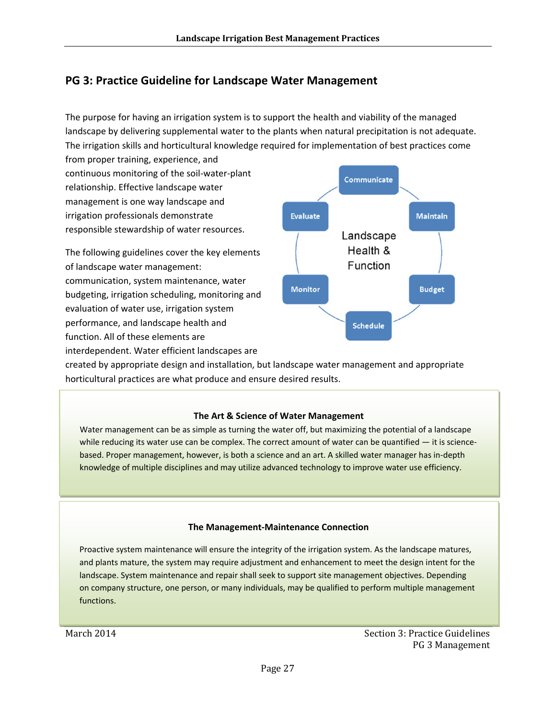## **PG 3: Practice Guideline for Landscape Water Management**

The purpose for having an irrigation system is to support the health and viability of the managed landscape by delivering supplemental water to the plants when natural precipitation is not adequate. The irrigation skills and horticultural knowledge required for implementation of best practices come

from proper training, experience, and continuous monitoring of the soil‐water‐plant relationship. Effective landscape water management is one way landscape and irrigation professionals demonstrate responsible stewardship of water resources.

The following guidelines cover the key elements of landscape water management: communication, system maintenance, water budgeting, irrigation scheduling, monitoring and evaluation of water use, irrigation system performance, and landscape health and function. All of these elements are interdependent. Water efficient landscapes are



created by appropriate design and installation, but landscape water management and appropriate horticultural practices are what produce and ensure desired results.

#### **The Art & Science of Water Management**

Water management can be as simple as turning the water off, but maximizing the potential of a landscape while reducing its water use can be complex. The correct amount of water can be quantified  $-$  it is sciencebased. Proper management, however, is both a science and an art. A skilled water manager has in‐depth knowledge of multiple disciplines and may utilize advanced technology to improve water use efficiency.

#### **The Management‐Maintenance Connection**

Proactive system maintenance will ensure the integrity of the irrigation system. As the landscape matures, and plants mature, the system may require adjustment and enhancement to meet the design intent for the landscape. System maintenance and repair shall seek to support site management objectives. Depending on company structure, one person, or many individuals, may be qualified to perform multiple management functions.

March 2014 **Section 3:** Practice Guidelines PG 3 Management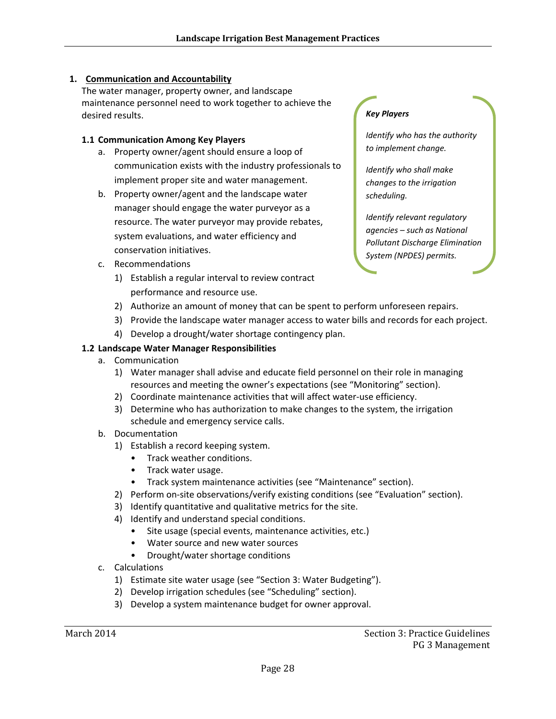#### **1. Communication and Accountability**

The water manager, property owner, and landscape maintenance personnel need to work together to achieve the desired results.

#### **1.1 Communication Among Key Players**

- a. Property owner/agent should ensure a loop of communication exists with the industry professionals to implement proper site and water management.
- b. Property owner/agent and the landscape water manager should engage the water purveyor as a resource. The water purveyor may provide rebates, system evaluations, and water efficiency and conservation initiatives.
- c. Recommendations
	- 1) Establish a regular interval to review contract performance and resource use.

#### *Key Players*

*Identify who has the authority to implement change.*

*Identify who shall make changes to the irrigation scheduling.*

*Identify relevant regulatory agencies – such as National Pollutant Discharge Elimination System (NPDES) permits.*

- 2) Authorize an amount of money that can be spent to perform unforeseen repairs.
- 3) Provide the landscape water manager access to water bills and records for each project.
- 4) Develop a drought/water shortage contingency plan.

#### **1.2 Landscape Water Manager Responsibilities**

- a. Communication
	- 1) Water manager shall advise and educate field personnel on their role in managing resources and meeting the owner's expectations (see "Monitoring" section).
	- 2) Coordinate maintenance activities that will affect water-use efficiency.
	- 3) Determine who has authorization to make changes to the system, the irrigation schedule and emergency service calls.
- b. Documentation
	- 1) Establish a record keeping system.
		- Track weather conditions.
		- Track water usage.
		- Track system maintenance activities (see "Maintenance" section).
	- 2) Perform on-site observations/verify existing conditions (see "Evaluation" section).
	- 3) Identify quantitative and qualitative metrics for the site.
	- 4) Identify and understand special conditions.
		- Site usage (special events, maintenance activities, etc.)
		- Water source and new water sources
		- Drought/water shortage conditions
- c. Calculations
	- 1) Estimate site water usage (see "Section 3: Water Budgeting").
	- 2) Develop irrigation schedules (see "Scheduling" section).
	- 3) Develop a system maintenance budget for owner approval.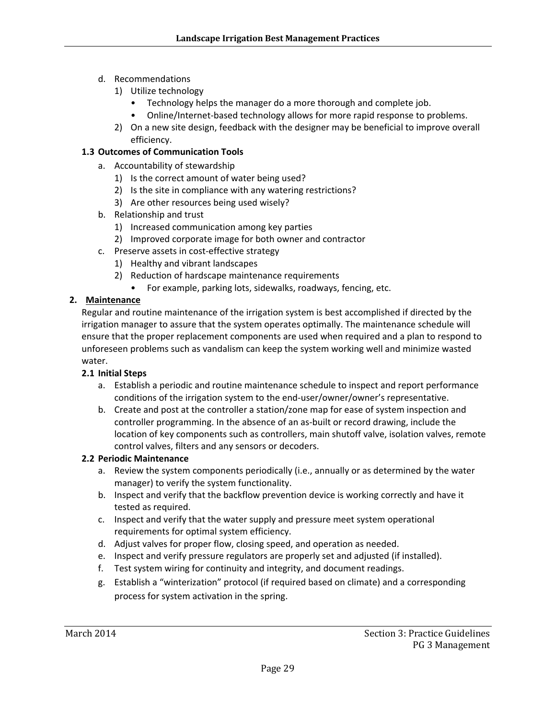- d. Recommendations
	- 1) Utilize technology
		- Technology helps the manager do a more thorough and complete job.
		- Online/Internet-based technology allows for more rapid response to problems.
	- 2) On a new site design, feedback with the designer may be beneficial to improve overall efficiency.

#### **1.3 Outcomes of Communication Tools**

- a. Accountability of stewardship
	- 1) Is the correct amount of water being used?
	- 2) Is the site in compliance with any watering restrictions?
	- 3) Are other resources being used wisely?
- b. Relationship and trust
	- 1) Increased communication among key parties
	- 2) Improved corporate image for both owner and contractor
- c. Preserve assets in cost‐effective strategy
	- 1) Healthy and vibrant landscapes
	- 2) Reduction of hardscape maintenance requirements
		- For example, parking lots, sidewalks, roadways, fencing, etc.

#### **2. Maintenance**

Regular and routine maintenance of the irrigation system is best accomplished if directed by the irrigation manager to assure that the system operates optimally. The maintenance schedule will ensure that the proper replacement components are used when required and a plan to respond to unforeseen problems such as vandalism can keep the system working well and minimize wasted water.

#### **2.1 Initial Steps**

- a. Establish a periodic and routine maintenance schedule to inspect and report performance conditions of the irrigation system to the end‐user/owner/owner's representative.
- b. Create and post at the controller a station/zone map for ease of system inspection and controller programming. In the absence of an as‐built or record drawing, include the location of key components such as controllers, main shutoff valve, isolation valves, remote control valves, filters and any sensors or decoders.

#### **2.2 Periodic Maintenance**

- a. Review the system components periodically (i.e., annually or as determined by the water manager) to verify the system functionality.
- b. Inspect and verify that the backflow prevention device is working correctly and have it tested as required.
- c. Inspect and verify that the water supply and pressure meet system operational requirements for optimal system efficiency.
- d. Adjust valves for proper flow, closing speed, and operation as needed.
- e. Inspect and verify pressure regulators are properly set and adjusted (if installed).
- f. Test system wiring for continuity and integrity, and document readings.
- g. Establish a "winterization" protocol (if required based on climate) and a corresponding process for system activation in the spring.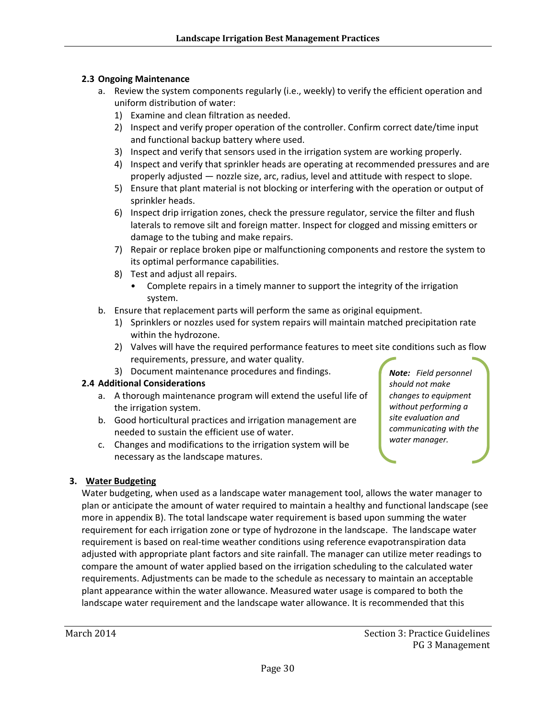#### **2.3 Ongoing Maintenance**

- a. Review the system components regularly (i.e., weekly) to verify the efficient operation and uniform distribution of water:
	- 1) Examine and clean filtration as needed.
	- 2) Inspect and verify proper operation of the controller. Confirm correct date/time input and functional backup battery where used.
	- 3) Inspect and verify that sensors used in the irrigation system are working properly.
	- 4) Inspect and verify that sprinkler heads are operating at recommended pressures and are properly adjusted — nozzle size, arc, radius, level and attitude with respect to slope.
	- 5) Ensure that plant material is not blocking or interfering with the operation or output of sprinkler heads.
	- 6) Inspect drip irrigation zones, check the pressure regulator, service the filter and flush laterals to remove silt and foreign matter. Inspect for clogged and missing emitters or damage to the tubing and make repairs.
	- 7) Repair or replace broken pipe or malfunctioning components and restore the system to its optimal performance capabilities.
	- 8) Test and adjust all repairs.
		- Complete repairs in a timely manner to support the integrity of the irrigation system.
- b. Ensure that replacement parts will perform the same as original equipment.
	- 1) Sprinklers or nozzles used for system repairs will maintain matched precipitation rate within the hydrozone.
	- 2) Valves will have the required performance features to meet site conditions such as flow requirements, pressure, and water quality.
	- 3) Document maintenance procedures and findings.

#### **2.4 Additional Considerations**

- a. A thorough maintenance program will extend the useful life of the irrigation system.
- b. Good horticultural practices and irrigation management are needed to sustain the efficient use of water.
- c. Changes and modifications to the irrigation system will be necessary as the landscape matures.

*Note: Field personnel should not make changes to equipment without performing a site evaluation and communicating with the water manager.*

#### **3. Water Budgeting**

Water budgeting, when used as a landscape water management tool, allows the water manager to plan or anticipate the amount of water required to maintain a healthy and functional landscape (see more in appendix B). The total landscape water requirement is based upon summing the water requirement for each irrigation zone or type of hydrozone in the landscape. The landscape water requirement is based on real-time weather conditions using reference evapotranspiration data adjusted with appropriate plant factors and site rainfall. The manager can utilize meter readings to compare the amount of water applied based on the irrigation scheduling to the calculated water requirements. Adjustments can be made to the schedule as necessary to maintain an acceptable plant appearance within the water allowance. Measured water usage is compared to both the landscape water requirement and the landscape water allowance. It is recommended that this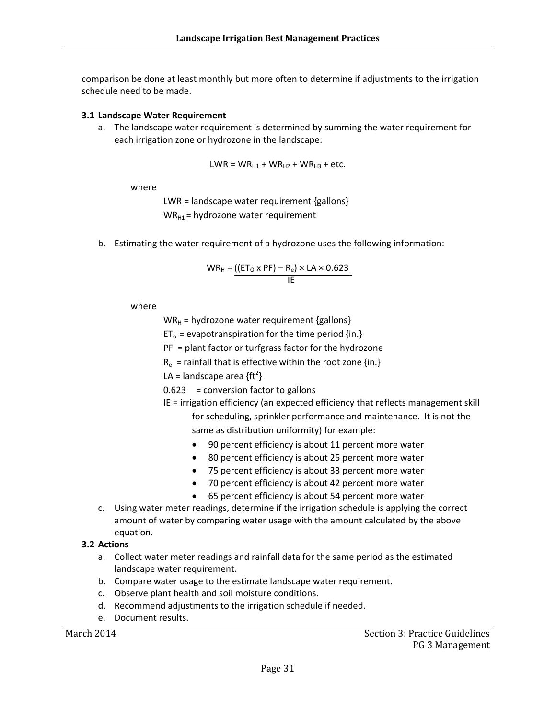comparison be done at least monthly but more often to determine if adjustments to the irrigation schedule need to be made.

#### **3.1 Landscape Water Requirement**

a. The landscape water requirement is determined by summing the water requirement for each irrigation zone or hydrozone in the landscape:

$$
LWR = WR_{H1} + WR_{H2} + WR_{H3} + etc.
$$

where

LWR = landscape water requirement {gallons}  $WR_{H1}$  = hydrozone water requirement

b. Estimating the water requirement of a hydrozone uses the following information:

$$
WR_{H} = \underbrace{(\text{[ET}_{O} \times \text{PF}) - R_{e}) \times \text{LA} \times 0.623}_{\text{IE}}
$$

where

 $WR_{H}$  = hydrozone water requirement {gallons}

 $ET_0$  = evapotranspiration for the time period {in.}

PF = plant factor or turfgrass factor for the hydrozone

 $R_e$  = rainfall that is effective within the root zone {in.}

LA = landscape area  ${ft<sup>2</sup>}$ 

 $0.623$  = conversion factor to gallons

IE = irrigation efficiency (an expected efficiency that reflects management skill

for scheduling, sprinkler performance and maintenance. It is not the same as distribution uniformity) for example:

- 90 percent efficiency is about 11 percent more water
- 80 percent efficiency is about 25 percent more water
- 75 percent efficiency is about 33 percent more water
- 70 percent efficiency is about 42 percent more water
- 65 percent efficiency is about 54 percent more water
- c. Using water meter readings, determine if the irrigation schedule is applying the correct amount of water by comparing water usage with the amount calculated by the above equation.

#### **3.2 Actions**

- a. Collect water meter readings and rainfall data for the same period as the estimated landscape water requirement.
- b. Compare water usage to the estimate landscape water requirement.
- c. Observe plant health and soil moisture conditions.
- d. Recommend adjustments to the irrigation schedule if needed.
- e. Document results.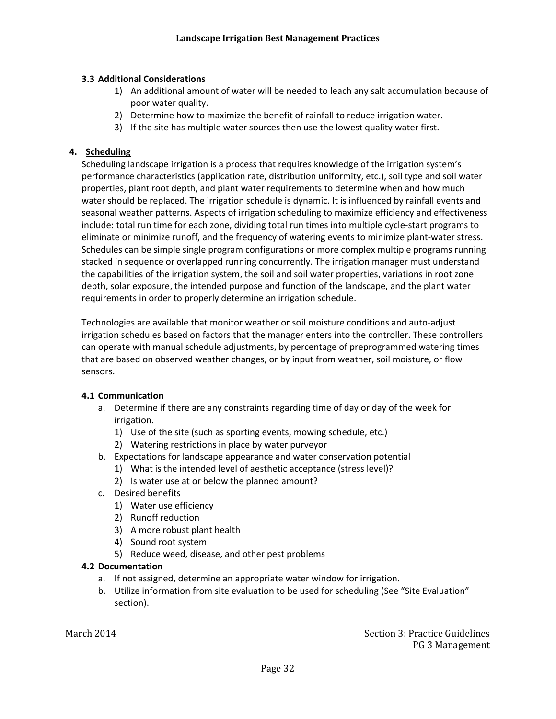- 1) An additional amount of water will be needed to leach any salt accumulation because of poor water quality.
- 2) Determine how to maximize the benefit of rainfall to reduce irrigation water.
- 3) If the site has multiple water sources then use the lowest quality water first.

#### **4. Scheduling**

Scheduling landscape irrigation is a process that requires knowledge of the irrigation system's performance characteristics (application rate, distribution uniformity, etc.), soil type and soil water properties, plant root depth, and plant water requirements to determine when and how much water should be replaced. The irrigation schedule is dynamic. It is influenced by rainfall events and seasonal weather patterns. Aspects of irrigation scheduling to maximize efficiency and effectiveness include: total run time for each zone, dividing total run times into multiple cycle‐start programs to eliminate or minimize runoff, and the frequency of watering events to minimize plant‐water stress. Schedules can be simple single program configurations or more complex multiple programs running stacked in sequence or overlapped running concurrently. The irrigation manager must understand the capabilities of the irrigation system, the soil and soil water properties, variations in root zone depth, solar exposure, the intended purpose and function of the landscape, and the plant water requirements in order to properly determine an irrigation schedule.

Technologies are available that monitor weather or soil moisture conditions and auto‐adjust irrigation schedules based on factors that the manager enters into the controller. These controllers can operate with manual schedule adjustments, by percentage of preprogrammed watering times that are based on observed weather changes, or by input from weather, soil moisture, or flow sensors.

#### **4.1 Communication**

- a. Determine if there are any constraints regarding time of day or day of the week for irrigation.
	- 1) Use of the site (such as sporting events, mowing schedule, etc.)
	- 2) Watering restrictions in place by water purveyor
- b. Expectations for landscape appearance and water conservation potential
	- 1) What is the intended level of aesthetic acceptance (stress level)?
	- 2) Is water use at or below the planned amount?
- c. Desired benefits
	- 1) Water use efficiency
	- 2) Runoff reduction
	- 3) A more robust plant health
	- 4) Sound root system
	- 5) Reduce weed, disease, and other pest problems

#### **4.2 Documentation**

- a. If not assigned, determine an appropriate water window for irrigation.
- b. Utilize information from site evaluation to be used for scheduling (See "Site Evaluation" section).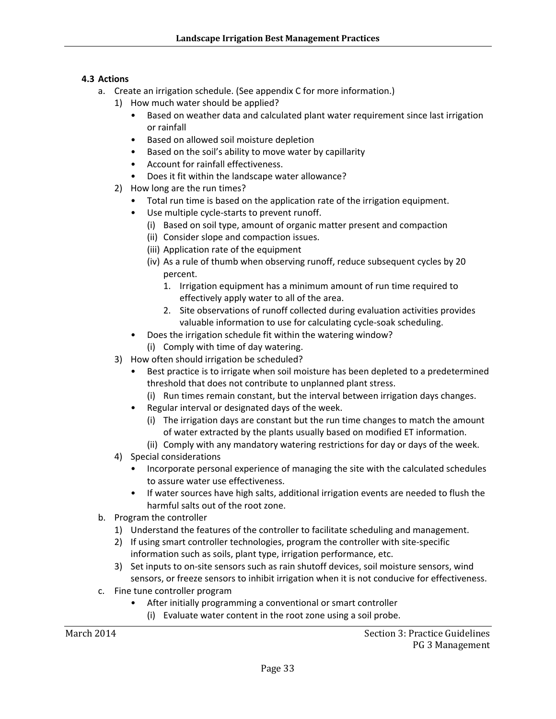#### **4.3 Actions**

- a. Create an irrigation schedule. (See appendix C for more information.)
	- 1) How much water should be applied?
		- Based on weather data and calculated plant water requirement since last irrigation or rainfall
		- Based on allowed soil moisture depletion
		- Based on the soil's ability to move water by capillarity
		- Account for rainfall effectiveness.
		- Does it fit within the landscape water allowance?
	- 2) How long are the run times?
		- Total run time is based on the application rate of the irrigation equipment.
		- Use multiple cycle‐starts to prevent runoff.
			- (i) Based on soil type, amount of organic matter present and compaction
			- (ii) Consider slope and compaction issues.
			- (iii) Application rate of the equipment
			- (iv) As a rule of thumb when observing runoff, reduce subsequent cycles by 20 percent.
				- 1. Irrigation equipment has a minimum amount of run time required to effectively apply water to all of the area.
				- 2. Site observations of runoff collected during evaluation activities provides valuable information to use for calculating cycle‐soak scheduling.
		- Does the irrigation schedule fit within the watering window?
			- (i) Comply with time of day watering.
	- 3) How often should irrigation be scheduled?
		- Best practice is to irrigate when soil moisture has been depleted to a predetermined threshold that does not contribute to unplanned plant stress.
			- (i) Run times remain constant, but the interval between irrigation days changes.
		- Regular interval or designated days of the week.
			- (i) The irrigation days are constant but the run time changes to match the amount of water extracted by the plants usually based on modified ET information.
			- (ii) Comply with any mandatory watering restrictions for day or days of the week.
	- 4) Special considerations
		- Incorporate personal experience of managing the site with the calculated schedules to assure water use effectiveness.
		- If water sources have high salts, additional irrigation events are needed to flush the harmful salts out of the root zone.
- b. Program the controller
	- 1) Understand the features of the controller to facilitate scheduling and management.
	- 2) If using smart controller technologies, program the controller with site-specific information such as soils, plant type, irrigation performance, etc.
	- 3) Set inputs to on‐site sensors such as rain shutoff devices, soil moisture sensors, wind sensors, or freeze sensors to inhibit irrigation when it is not conducive for effectiveness.
- c. Fine tune controller program
	- After initially programming a conventional or smart controller
		- (i) Evaluate water content in the root zone using a soil probe.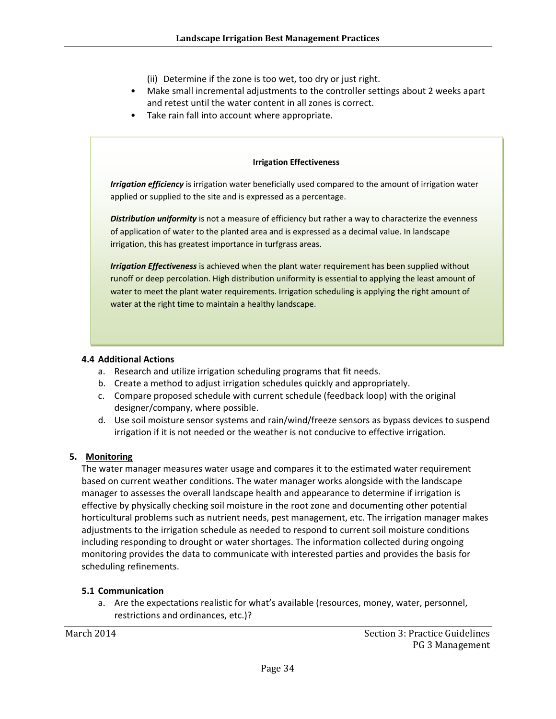(ii) Determine if the zone is too wet, too dry or just right.

- Make small incremental adjustments to the controller settings about 2 weeks apart and retest until the water content in all zones is correct.
- Take rain fall into account where appropriate.

#### **Irrigation Effectiveness**

*Irrigation efficiency* is irrigation water beneficially used compared to the amount of irrigation water applied or supplied to the site and is expressed as a percentage.

*Distribution uniformity* is not a measure of efficiency but rather a way to characterize the evenness of application of water to the planted area and is expressed as a decimal value. In landscape irrigation, this has greatest importance in turfgrass areas.

*Irrigation Effectiveness* is achieved when the plant water requirement has been supplied without runoff or deep percolation. High distribution uniformity is essential to applying the least amount of water to meet the plant water requirements. Irrigation scheduling is applying the right amount of water at the right time to maintain a healthy landscape.

#### **4.4 Additional Actions**

- a. Research and utilize irrigation scheduling programs that fit needs.
- b. Create a method to adjust irrigation schedules quickly and appropriately.
- c. Compare proposed schedule with current schedule (feedback loop) with the original designer/company, where possible.
- d. Use soil moisture sensor systems and rain/wind/freeze sensors as bypass devices to suspend irrigation if it is not needed or the weather is not conducive to effective irrigation.

#### **5. Monitoring**

The water manager measures water usage and compares it to the estimated water requirement based on current weather conditions. The water manager works alongside with the landscape manager to assesses the overall landscape health and appearance to determine if irrigation is effective by physically checking soil moisture in the root zone and documenting other potential horticultural problems such as nutrient needs, pest management, etc. The irrigation manager makes adjustments to the irrigation schedule as needed to respond to current soil moisture conditions including responding to drought or water shortages. The information collected during ongoing monitoring provides the data to communicate with interested parties and provides the basis for scheduling refinements.

#### **5.1 Communication**

a. Are the expectations realistic for what's available (resources, money, water, personnel, restrictions and ordinances, etc.)?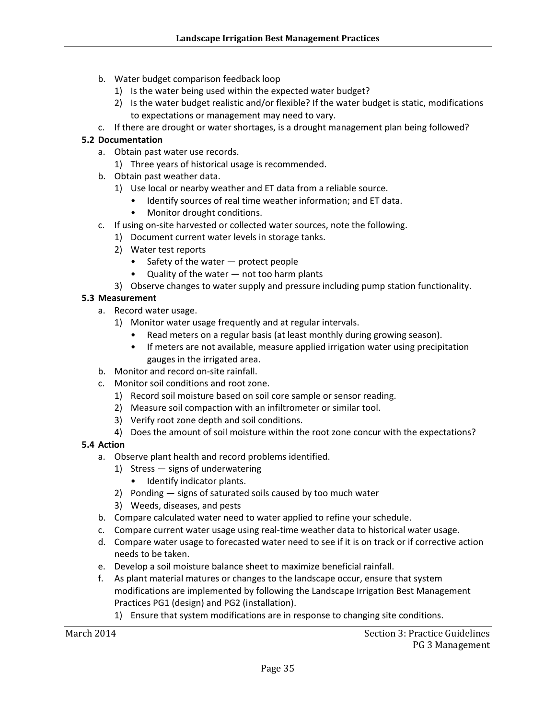- b. Water budget comparison feedback loop
	- 1) Is the water being used within the expected water budget?
	- 2) Is the water budget realistic and/or flexible? If the water budget is static, modifications to expectations or management may need to vary.
- c. If there are drought or water shortages, is a drought management plan being followed?

#### **5.2 Documentation**

- a. Obtain past water use records.
	- 1) Three years of historical usage is recommended.
- b. Obtain past weather data.
	- 1) Use local or nearby weather and ET data from a reliable source.
		- Identify sources of real time weather information; and ET data.
		- Monitor drought conditions.
- c. If using on‐site harvested or collected water sources, note the following.
	- 1) Document current water levels in storage tanks.
	- 2) Water test reports
		- Safety of the water protect people
		- Quality of the water not too harm plants
	- 3) Observe changes to water supply and pressure including pump station functionality.

#### **5.3 Measurement**

- a. Record water usage.
	- 1) Monitor water usage frequently and at regular intervals.
		- Read meters on a regular basis (at least monthly during growing season).
		- If meters are not available, measure applied irrigation water using precipitation gauges in the irrigated area.
- b. Monitor and record on‐site rainfall.
- c. Monitor soil conditions and root zone.
	- 1) Record soil moisture based on soil core sample or sensor reading.
	- 2) Measure soil compaction with an infiltrometer or similar tool.
	- 3) Verify root zone depth and soil conditions.
	- 4) Does the amount of soil moisture within the root zone concur with the expectations?

#### **5.4 Action**

- a. Observe plant health and record problems identified.
	- 1) Stress signs of underwatering
		- Identify indicator plants.
	- 2) Ponding signs of saturated soils caused by too much water
	- 3) Weeds, diseases, and pests
- b. Compare calculated water need to water applied to refine your schedule.
- c. Compare current water usage using real‐time weather data to historical water usage.
- d. Compare water usage to forecasted water need to see if it is on track or if corrective action needs to be taken.
- e. Develop a soil moisture balance sheet to maximize beneficial rainfall.
- f. As plant material matures or changes to the landscape occur, ensure that system modifications are implemented by following the Landscape Irrigation Best Management Practices PG1 (design) and PG2 (installation).
	- 1) Ensure that system modifications are in response to changing site conditions.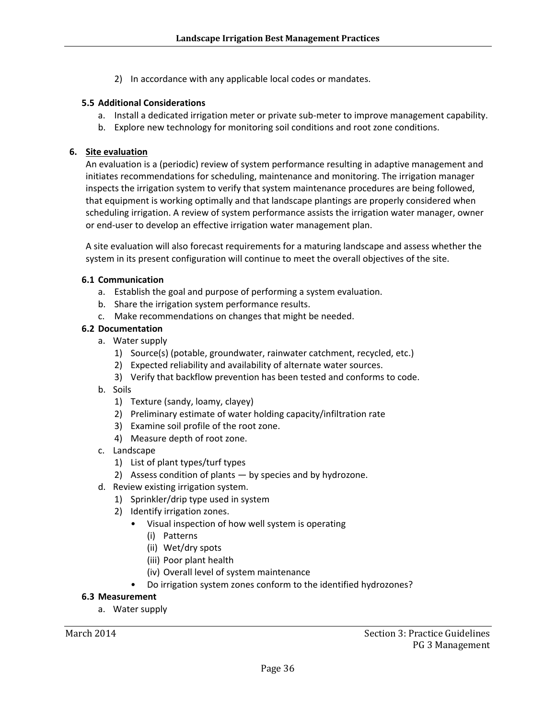2) In accordance with any applicable local codes or mandates.

#### **5.5 Additional Considerations**

- a. Install a dedicated irrigation meter or private sub-meter to improve management capability.
- b. Explore new technology for monitoring soil conditions and root zone conditions.

#### **6. Site evaluation**

An evaluation is a (periodic) review of system performance resulting in adaptive management and initiates recommendations for scheduling, maintenance and monitoring. The irrigation manager inspects the irrigation system to verify that system maintenance procedures are being followed, that equipment is working optimally and that landscape plantings are properly considered when scheduling irrigation. A review of system performance assists the irrigation water manager, owner or end‐user to develop an effective irrigation water management plan.

A site evaluation will also forecast requirements for a maturing landscape and assess whether the system in its present configuration will continue to meet the overall objectives of the site.

#### **6.1 Communication**

- a. Establish the goal and purpose of performing a system evaluation.
- b. Share the irrigation system performance results.
- c. Make recommendations on changes that might be needed.

#### **6.2 Documentation**

- a. Water supply
	- 1) Source(s) (potable, groundwater, rainwater catchment, recycled, etc.)
	- 2) Expected reliability and availability of alternate water sources.
	- 3) Verify that backflow prevention has been tested and conforms to code.
- b. Soils
	- 1) Texture (sandy, loamy, clayey)
	- 2) Preliminary estimate of water holding capacity/infiltration rate
	- 3) Examine soil profile of the root zone.
	- 4) Measure depth of root zone.
- c. Landscape
	- 1) List of plant types/turf types
	- 2) Assess condition of plants by species and by hydrozone.
- d. Review existing irrigation system.
	- 1) Sprinkler/drip type used in system
	- 2) Identify irrigation zones.
		- Visual inspection of how well system is operating
			- (i) Patterns
			- (ii) Wet/dry spots
			- (iii) Poor plant health
			- (iv) Overall level of system maintenance
			- Do irrigation system zones conform to the identified hydrozones?

#### **6.3 Measurement**

a. Water supply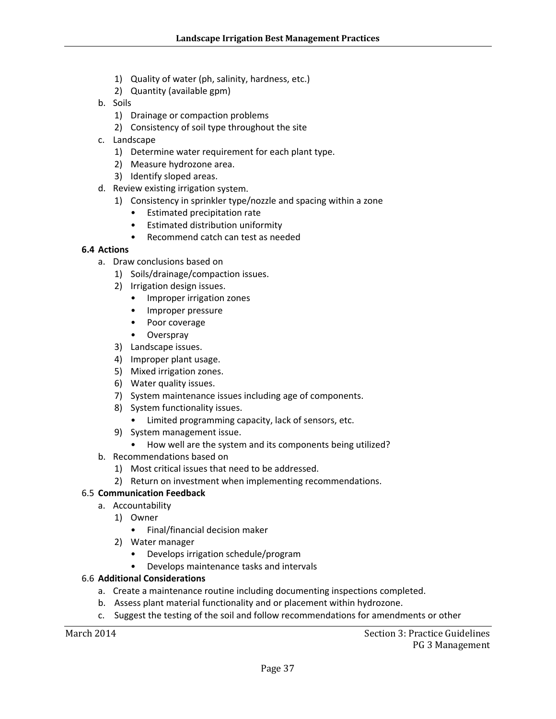- 1) Quality of water (ph, salinity, hardness, etc.)
- 2) Quantity (available gpm)
- b. Soils
	- 1) Drainage or compaction problems
	- 2) Consistency of soil type throughout the site
- c. Landscape
	- 1) Determine water requirement for each plant type.
	- 2) Measure hydrozone area.
	- 3) Identify sloped areas.
- d. Review existing irrigation system.
	- 1) Consistency in sprinkler type/nozzle and spacing within a zone
		- Estimated precipitation rate
		- Estimated distribution uniformity
		- Recommend catch can test as needed

#### **6.4 Actions**

- a. Draw conclusions based on
	- 1) Soils/drainage/compaction issues.
	- 2) Irrigation design issues.
		- Improper irrigation zones
		- Improper pressure
		- Poor coverage
		- Overspray
	- 3) Landscape issues.
	- 4) Improper plant usage.
	- 5) Mixed irrigation zones.
	- 6) Water quality issues.
	- 7) System maintenance issues including age of components.
	- 8) System functionality issues.
		- Limited programming capacity, lack of sensors, etc.
	- 9) System management issue.
		- How well are the system and its components being utilized?
- b. Recommendations based on
	- 1) Most critical issues that need to be addressed.
	- 2) Return on investment when implementing recommendations.

#### 6.5 **Communication Feedback**

- a. Accountability
	- 1) Owner
		- Final/financial decision maker
	- 2) Water manager
		- Develops irrigation schedule/program
		- Develops maintenance tasks and intervals

#### 6.6 **Additional Considerations**

- a. Create a maintenance routine including documenting inspections completed.
- b. Assess plant material functionality and or placement within hydrozone.
- c. Suggest the testing of the soil and follow recommendations for amendments or other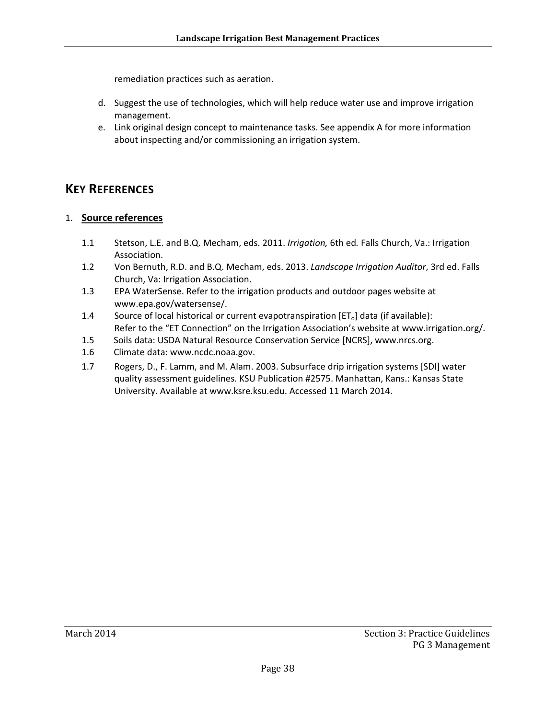remediation practices such as aeration.

- d. Suggest the use of technologies, which will help reduce water use and improve irrigation management.
- e. Link original design concept to maintenance tasks. See appendix A for more information about inspecting and/or commissioning an irrigation system.

## **KEY REFERENCES**

#### 1. **Source references**

- 1.1 Stetson, L.E. and B.Q. Mecham, eds. 2011. *Irrigation,* 6th ed*.* Falls Church, Va.: Irrigation Association.
- 1.2 Von Bernuth, R.D. and B.Q. Mecham, eds. 2013. *Landscape Irrigation Auditor*, 3rd ed. Falls Church, Va: Irrigation Association.
- 1.3 EPA WaterSense. Refer to the irrigation products and outdoor pages website at www.epa.gov/watersense/.
- 1.4 Source of local historical or current evapotranspiration  $[ET_0]$  data (if available): Refer to the "ET Connection" on the Irrigation Association's website at www.irrigation.org/.
- 1.5 Soils data: USDA Natural Resource Conservation Service [NCRS], www.nrcs.org.
- 1.6 Climate data: www.ncdc.noaa.gov.
- 1.7 Rogers, D., F. Lamm, and M. Alam. 2003. Subsurface drip irrigation systems [SDI] water quality assessment guidelines. KSU Publication #2575. Manhattan, Kans.: Kansas State University. Available at www.ksre.ksu.edu. Accessed 11 March 2014.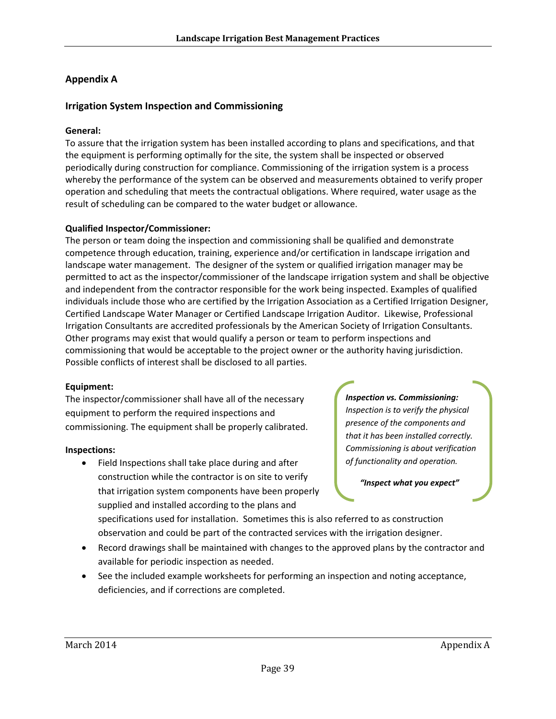#### **Appendix A**

#### **Irrigation System Inspection and Commissioning**

#### **General:**

To assure that the irrigation system has been installed according to plans and specifications, and that the equipment is performing optimally for the site, the system shall be inspected or observed periodically during construction for compliance. Commissioning of the irrigation system is a process whereby the performance of the system can be observed and measurements obtained to verify proper operation and scheduling that meets the contractual obligations. Where required, water usage as the result of scheduling can be compared to the water budget or allowance.

#### **Qualified Inspector/Commissioner:**

The person or team doing the inspection and commissioning shall be qualified and demonstrate competence through education, training, experience and/or certification in landscape irrigation and landscape water management. The designer of the system or qualified irrigation manager may be permitted to act as the inspector/commissioner of the landscape irrigation system and shall be objective and independent from the contractor responsible for the work being inspected. Examples of qualified individuals include those who are certified by the Irrigation Association as a Certified Irrigation Designer, Certified Landscape Water Manager or Certified Landscape Irrigation Auditor. Likewise, Professional Irrigation Consultants are accredited professionals by the American Society of Irrigation Consultants. Other programs may exist that would qualify a person or team to perform inspections and commissioning that would be acceptable to the project owner or the authority having jurisdiction. Possible conflicts of interest shall be disclosed to all parties.

#### **Equipment:**

The inspector/commissioner shall have all of the necessary equipment to perform the required inspections and commissioning. The equipment shall be properly calibrated.

#### **Inspections:**

 Field Inspections shall take place during and after construction while the contractor is on site to verify that irrigation system components have been properly supplied and installed according to the plans and

*Inspection vs. Commissioning: Inspection is to verify the physical presence of the components and that it has been installed correctly. Commissioning is about verification of functionality and operation.*

 *"Inspect what you expect"*

specifications used for installation. Sometimes this is also referred to as construction observation and could be part of the contracted services with the irrigation designer.

- Record drawings shall be maintained with changes to the approved plans by the contractor and available for periodic inspection as needed.
- See the included example worksheets for performing an inspection and noting acceptance, deficiencies, and if corrections are completed.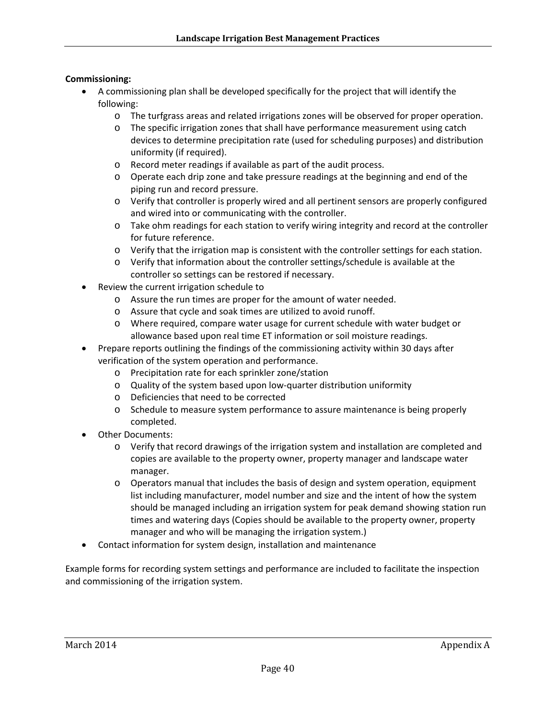#### **Commissioning:**

- A commissioning plan shall be developed specifically for the project that will identify the following:
	- o The turfgrass areas and related irrigations zones will be observed for proper operation.
	- o The specific irrigation zones that shall have performance measurement using catch devices to determine precipitation rate (used for scheduling purposes) and distribution uniformity (if required).
	- o Record meter readings if available as part of the audit process.
	- o Operate each drip zone and take pressure readings at the beginning and end of the piping run and record pressure.
	- o Verify that controller is properly wired and all pertinent sensors are properly configured and wired into or communicating with the controller.
	- o Take ohm readings for each station to verify wiring integrity and record at the controller for future reference.
	- o Verify that the irrigation map is consistent with the controller settings for each station.
	- o Verify that information about the controller settings/schedule is available at the controller so settings can be restored if necessary.
- Review the current irrigation schedule to
	- o Assure the run times are proper for the amount of water needed.
	- o Assure that cycle and soak times are utilized to avoid runoff.
	- o Where required, compare water usage for current schedule with water budget or allowance based upon real time ET information or soil moisture readings.
- Prepare reports outlining the findings of the commissioning activity within 30 days after verification of the system operation and performance.
	- o Precipitation rate for each sprinkler zone/station
	- o Quality of the system based upon low‐quarter distribution uniformity
	- o Deficiencies that need to be corrected
	- o Schedule to measure system performance to assure maintenance is being properly completed.
- Other Documents:
	- o Verify that record drawings of the irrigation system and installation are completed and copies are available to the property owner, property manager and landscape water manager.
	- o Operators manual that includes the basis of design and system operation, equipment list including manufacturer, model number and size and the intent of how the system should be managed including an irrigation system for peak demand showing station run times and watering days (Copies should be available to the property owner, property manager and who will be managing the irrigation system.)
- Contact information for system design, installation and maintenance

Example forms for recording system settings and performance are included to facilitate the inspection and commissioning of the irrigation system.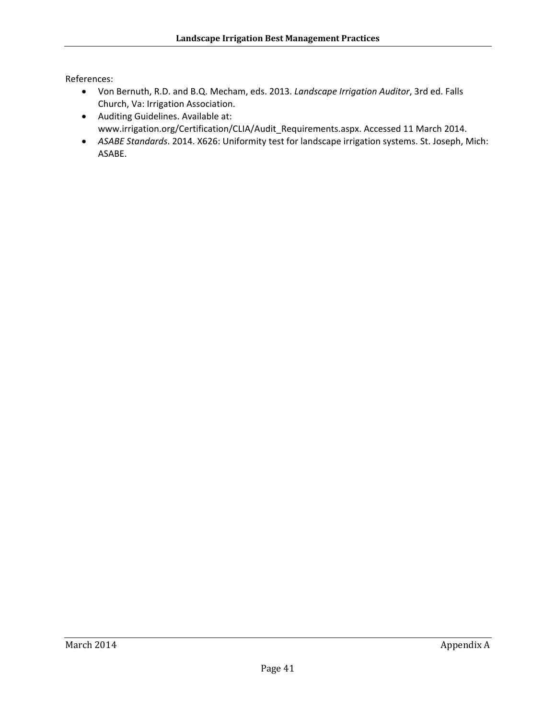References:

- Von Bernuth, R.D. and B.Q. Mecham, eds. 2013. *Landscape Irrigation Auditor*, 3rd ed. Falls Church, Va: Irrigation Association.
- Auditing Guidelines. Available at: www.irrigation.org/Certification/CLIA/Audit\_Requirements.aspx. Accessed 11 March 2014.
- *ASABE Standards*. 2014. X626: Uniformity test for landscape irrigation systems. St. Joseph, Mich: ASABE.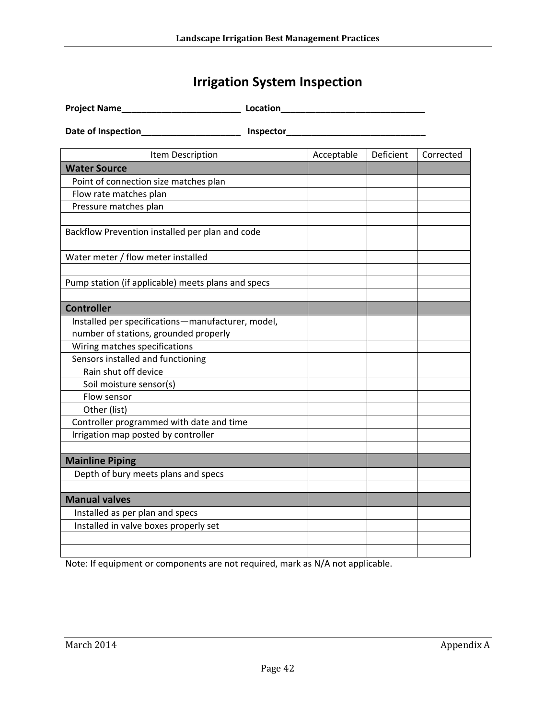# **Irrigation System Inspection**

| <b>Project Name_</b>                               | Location |            |           |           |
|----------------------------------------------------|----------|------------|-----------|-----------|
|                                                    |          |            |           |           |
| Item Description                                   |          | Acceptable | Deficient | Corrected |
| <b>Water Source</b>                                |          |            |           |           |
| Point of connection size matches plan              |          |            |           |           |
| Flow rate matches plan                             |          |            |           |           |
| Pressure matches plan                              |          |            |           |           |
| Backflow Prevention installed per plan and code    |          |            |           |           |
| Water meter / flow meter installed                 |          |            |           |           |
| Pump station (if applicable) meets plans and specs |          |            |           |           |
| <b>Controller</b>                                  |          |            |           |           |
| Installed per specifications-manufacturer, model,  |          |            |           |           |
| number of stations, grounded properly              |          |            |           |           |
| Wiring matches specifications                      |          |            |           |           |
| Sensors installed and functioning                  |          |            |           |           |
| Rain shut off device                               |          |            |           |           |
| Soil moisture sensor(s)                            |          |            |           |           |
| Flow sensor                                        |          |            |           |           |
| Other (list)                                       |          |            |           |           |
| Controller programmed with date and time           |          |            |           |           |
| Irrigation map posted by controller                |          |            |           |           |
| <b>Mainline Piping</b>                             |          |            |           |           |
| Depth of bury meets plans and specs                |          |            |           |           |
|                                                    |          |            |           |           |
| <b>Manual valves</b>                               |          |            |           |           |
| Installed as per plan and specs                    |          |            |           |           |
| Installed in valve boxes properly set              |          |            |           |           |
|                                                    |          |            |           |           |
|                                                    |          |            |           |           |

Note: If equipment or components are not required, mark as N/A not applicable.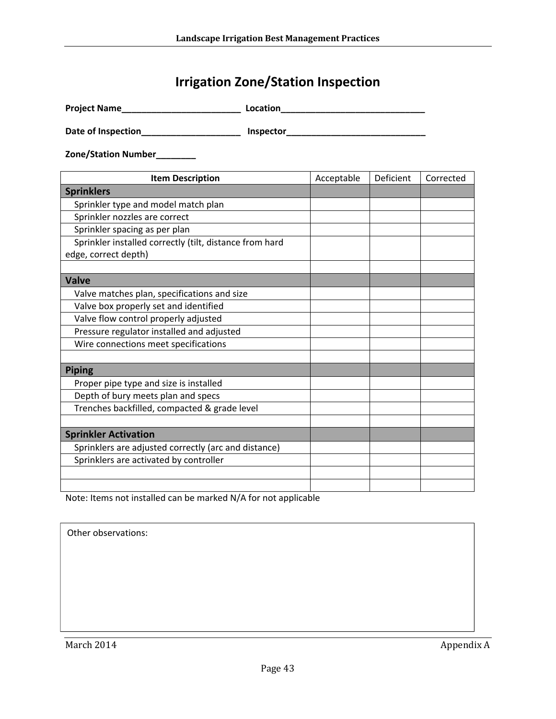# **Irrigation Zone/Station Inspection**

| <b>Project Name</b> | Location |
|---------------------|----------|
|                     |          |

**Date of Inspection\_\_\_\_\_\_\_\_\_\_\_\_\_\_\_\_\_\_\_\_ Inspector\_\_\_\_\_\_\_\_\_\_\_\_\_\_\_\_\_\_\_\_\_\_\_\_\_\_\_\_**

**Zone/Station Number\_\_\_\_\_\_\_\_**

| <b>Item Description</b>                                 | Acceptable | Deficient | Corrected |
|---------------------------------------------------------|------------|-----------|-----------|
| <b>Sprinklers</b>                                       |            |           |           |
| Sprinkler type and model match plan                     |            |           |           |
| Sprinkler nozzles are correct                           |            |           |           |
| Sprinkler spacing as per plan                           |            |           |           |
| Sprinkler installed correctly (tilt, distance from hard |            |           |           |
| edge, correct depth)                                    |            |           |           |
|                                                         |            |           |           |
| <b>Valve</b>                                            |            |           |           |
| Valve matches plan, specifications and size             |            |           |           |
| Valve box properly set and identified                   |            |           |           |
| Valve flow control properly adjusted                    |            |           |           |
| Pressure regulator installed and adjusted               |            |           |           |
| Wire connections meet specifications                    |            |           |           |
|                                                         |            |           |           |
| <b>Piping</b>                                           |            |           |           |
| Proper pipe type and size is installed                  |            |           |           |
| Depth of bury meets plan and specs                      |            |           |           |
| Trenches backfilled, compacted & grade level            |            |           |           |
|                                                         |            |           |           |
| <b>Sprinkler Activation</b>                             |            |           |           |
| Sprinklers are adjusted correctly (arc and distance)    |            |           |           |
| Sprinklers are activated by controller                  |            |           |           |
|                                                         |            |           |           |
|                                                         |            |           |           |

Note: Items not installed can be marked N/A for not applicable

| Other observations: |
|---------------------|
|                     |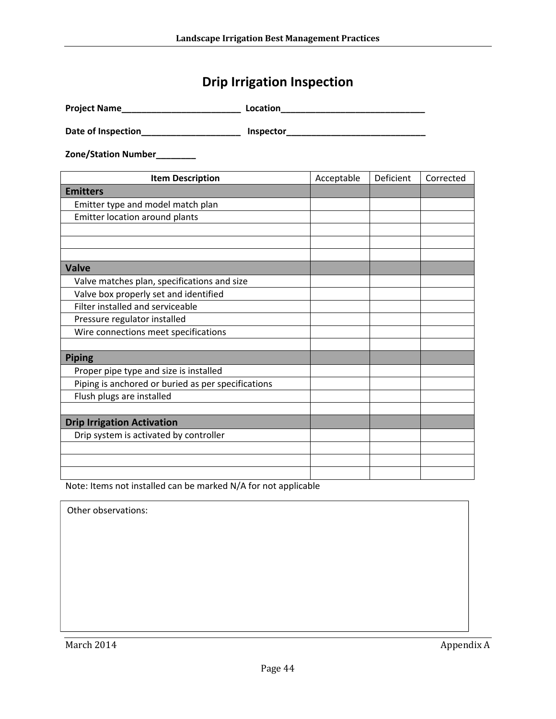# **Drip Irrigation Inspection**

| <b>Project Name</b> | Location |
|---------------------|----------|
|---------------------|----------|

**Date of Inspection\_\_\_\_\_\_\_\_\_\_\_\_\_\_\_\_\_\_\_\_ Inspector\_\_\_\_\_\_\_\_\_\_\_\_\_\_\_\_\_\_\_\_\_\_\_\_\_\_\_\_**

**Zone/Station Number\_\_\_\_\_\_\_\_**

| <b>Item Description</b>                            | Acceptable | Deficient | Corrected |
|----------------------------------------------------|------------|-----------|-----------|
| <b>Emitters</b>                                    |            |           |           |
| Emitter type and model match plan                  |            |           |           |
| Emitter location around plants                     |            |           |           |
|                                                    |            |           |           |
|                                                    |            |           |           |
|                                                    |            |           |           |
| <b>Valve</b>                                       |            |           |           |
| Valve matches plan, specifications and size        |            |           |           |
| Valve box properly set and identified              |            |           |           |
| Filter installed and serviceable                   |            |           |           |
| Pressure regulator installed                       |            |           |           |
| Wire connections meet specifications               |            |           |           |
|                                                    |            |           |           |
| <b>Piping</b>                                      |            |           |           |
| Proper pipe type and size is installed             |            |           |           |
| Piping is anchored or buried as per specifications |            |           |           |
| Flush plugs are installed                          |            |           |           |
|                                                    |            |           |           |
| <b>Drip Irrigation Activation</b>                  |            |           |           |
| Drip system is activated by controller             |            |           |           |
|                                                    |            |           |           |
|                                                    |            |           |           |
|                                                    |            |           |           |

Note: Items not installed can be marked N/A for not applicable

Other observations:

March 2014 **Appendix A**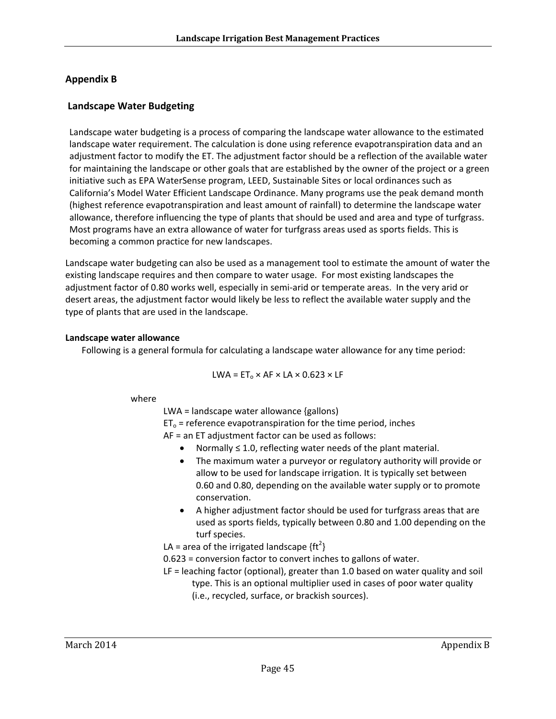#### **Appendix B**

#### **Landscape Water Budgeting**

Landscape water budgeting is a process of comparing the landscape water allowance to the estimated landscape water requirement. The calculation is done using reference evapotranspiration data and an adjustment factor to modify the ET. The adjustment factor should be a reflection of the available water for maintaining the landscape or other goals that are established by the owner of the project or a green initiative such as EPA WaterSense program, LEED, Sustainable Sites or local ordinances such as California's Model Water Efficient Landscape Ordinance. Many programs use the peak demand month (highest reference evapotranspiration and least amount of rainfall) to determine the landscape water allowance, therefore influencing the type of plants that should be used and area and type of turfgrass. Most programs have an extra allowance of water for turfgrass areas used as sports fields. This is becoming a common practice for new landscapes.

Landscape water budgeting can also be used as a management tool to estimate the amount of water the existing landscape requires and then compare to water usage. For most existing landscapes the adjustment factor of 0.80 works well, especially in semi-arid or temperate areas. In the very arid or desert areas, the adjustment factor would likely be less to reflect the available water supply and the type of plants that are used in the landscape.

#### **Landscape water allowance**

Following is a general formula for calculating a landscape water allowance for any time period:

$$
LWA = ET_0 \times AF \times LA \times 0.623 \times LF
$$

#### where

LWA = landscape water allowance {gallons)

 $ET_0$  = reference evapotranspiration for the time period, inches

AF = an ET adjustment factor can be used as follows:

- Normally ≤ 1.0, reflecting water needs of the plant material.
- The maximum water a purveyor or regulatory authority will provide or allow to be used for landscape irrigation. It is typically set between 0.60 and 0.80, depending on the available water supply or to promote conservation.
- A higher adjustment factor should be used for turfgrass areas that are used as sports fields, typically between 0.80 and 1.00 depending on the turf species.
- LA = area of the irrigated landscape  ${ft<sup>2</sup>}$
- 0.623 = conversion factor to convert inches to gallons of water.
- LF = leaching factor (optional), greater than 1.0 based on water quality and soil type. This is an optional multiplier used in cases of poor water quality (i.e., recycled, surface, or brackish sources).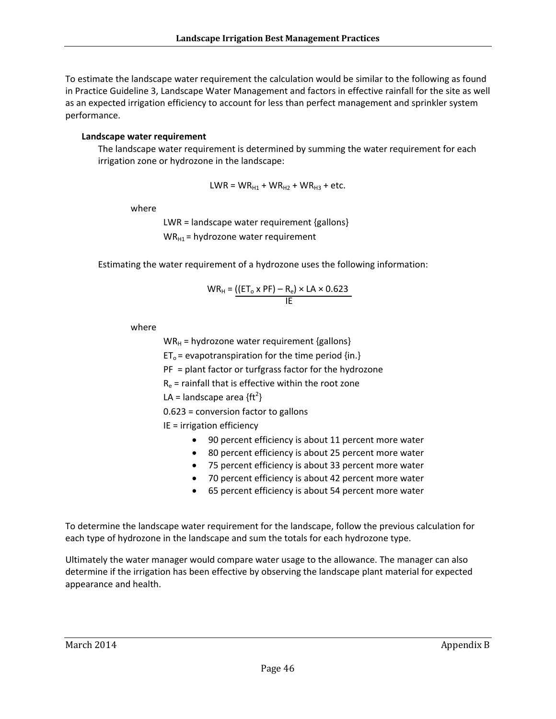To estimate the landscape water requirement the calculation would be similar to the following as found in Practice Guideline 3, Landscape Water Management and factors in effective rainfall for the site as well as an expected irrigation efficiency to account for less than perfect management and sprinkler system performance.

#### **Landscape water requirement**

The landscape water requirement is determined by summing the water requirement for each irrigation zone or hydrozone in the landscape:

 $LWR = WR_{H1} + WR_{H2} + WR_{H3} + etc.$ 

where

LWR = landscape water requirement {gallons}  $WR_{H1}$  = hydrozone water requirement

Estimating the water requirement of a hydrozone uses the following information:

$$
WR_{H} = \underbrace{(\text{ET}_{o} \times \text{PF}) - R_{e}}_{\text{IE}} \times \text{LA} \times 0.623
$$

where

 $WR_H$  = hydrozone water requirement {gallons}

 $ET_0$  = evapotranspiration for the time period {in.}

PF = plant factor or turfgrass factor for the hydrozone

 $R_e$  = rainfall that is effective within the root zone

LA = landscape area  ${ft<sup>2</sup>}$ 

0.623 = conversion factor to gallons

#### IE = irrigation efficiency

- 90 percent efficiency is about 11 percent more water
- 80 percent efficiency is about 25 percent more water
- 75 percent efficiency is about 33 percent more water
- 70 percent efficiency is about 42 percent more water
- 65 percent efficiency is about 54 percent more water

To determine the landscape water requirement for the landscape, follow the previous calculation for each type of hydrozone in the landscape and sum the totals for each hydrozone type.

Ultimately the water manager would compare water usage to the allowance. The manager can also determine if the irrigation has been effective by observing the landscape plant material for expected appearance and health.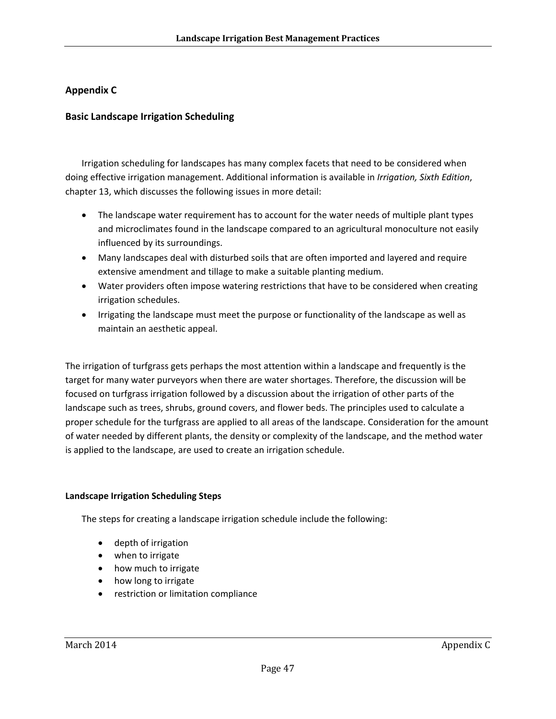#### **Appendix C**

#### **Basic Landscape Irrigation Scheduling**

Irrigation scheduling for landscapes has many complex facets that need to be considered when doing effective irrigation management. Additional information is available in *Irrigation, Sixth Edition*, chapter 13, which discusses the following issues in more detail:

- The landscape water requirement has to account for the water needs of multiple plant types and microclimates found in the landscape compared to an agricultural monoculture not easily influenced by its surroundings.
- Many landscapes deal with disturbed soils that are often imported and layered and require extensive amendment and tillage to make a suitable planting medium.
- Water providers often impose watering restrictions that have to be considered when creating irrigation schedules.
- Irrigating the landscape must meet the purpose or functionality of the landscape as well as maintain an aesthetic appeal.

The irrigation of turfgrass gets perhaps the most attention within a landscape and frequently is the target for many water purveyors when there are water shortages. Therefore, the discussion will be focused on turfgrass irrigation followed by a discussion about the irrigation of other parts of the landscape such as trees, shrubs, ground covers, and flower beds. The principles used to calculate a proper schedule for the turfgrass are applied to all areas of the landscape. Consideration for the amount of water needed by different plants, the density or complexity of the landscape, and the method water is applied to the landscape, are used to create an irrigation schedule.

#### **Landscape Irrigation Scheduling Steps**

The steps for creating a landscape irrigation schedule include the following:

- depth of irrigation
- when to irrigate
- how much to irrigate
- how long to irrigate
- **•** restriction or limitation compliance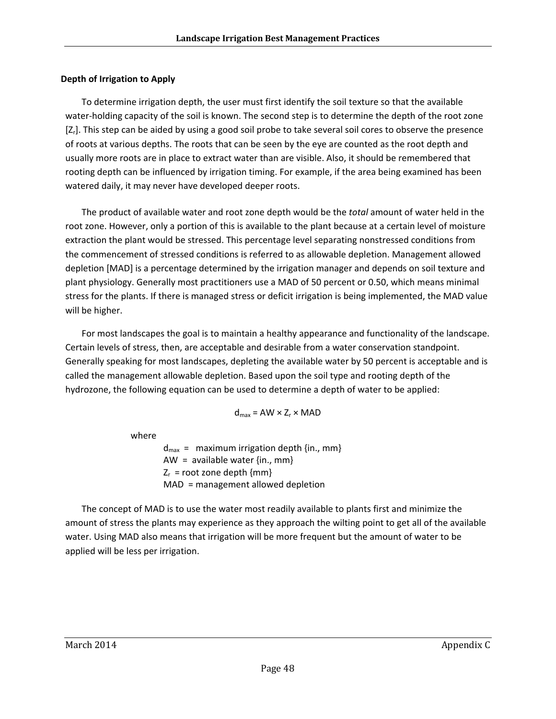#### **Depth of Irrigation to Apply**

To determine irrigation depth, the user must first identify the soil texture so that the available water-holding capacity of the soil is known. The second step is to determine the depth of the root zone [Z<sub>r</sub>]. This step can be aided by using a good soil probe to take several soil cores to observe the presence of roots at various depths. The roots that can be seen by the eye are counted as the root depth and usually more roots are in place to extract water than are visible. Also, it should be remembered that rooting depth can be influenced by irrigation timing. For example, if the area being examined has been watered daily, it may never have developed deeper roots.

The product of available water and root zone depth would be the *total* amount of water held in the root zone. However, only a portion of this is available to the plant because at a certain level of moisture extraction the plant would be stressed. This percentage level separating nonstressed conditions from the commencement of stressed conditions is referred to as allowable depletion. Management allowed depletion [MAD] is a percentage determined by the irrigation manager and depends on soil texture and plant physiology. Generally most practitioners use a MAD of 50 percent or 0.50, which means minimal stress for the plants. If there is managed stress or deficit irrigation is being implemented, the MAD value will be higher.

For most landscapes the goal is to maintain a healthy appearance and functionality of the landscape. Certain levels of stress, then, are acceptable and desirable from a water conservation standpoint. Generally speaking for most landscapes, depleting the available water by 50 percent is acceptable and is called the management allowable depletion. Based upon the soil type and rooting depth of the hydrozone, the following equation can be used to determine a depth of water to be applied:

$$
d_{max} = AW \times Z_r \times MAD
$$

where

 $d_{max}$  = maximum irrigation depth {in., mm} AW =  $a$ vailable water  $\{in, mm\}$  $Z_r$  = root zone depth  ${mm}$ MAD = management allowed depletion

The concept of MAD is to use the water most readily available to plants first and minimize the amount of stress the plants may experience as they approach the wilting point to get all of the available water. Using MAD also means that irrigation will be more frequent but the amount of water to be applied will be less per irrigation.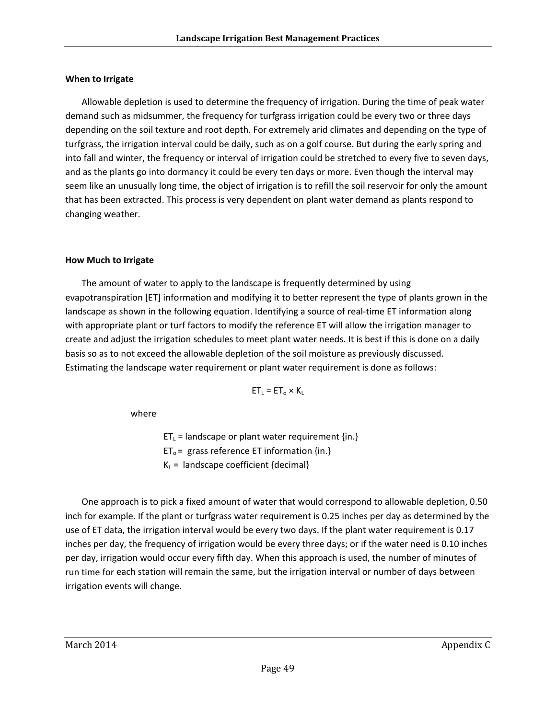#### **When to Irrigate**

Allowable depletion is used to determine the frequency of irrigation. During the time of peak water demand such as midsummer, the frequency for turfgrass irrigation could be every two or three days depending on the soil texture and root depth. For extremely arid climates and depending on the type of turfgrass, the irrigation interval could be daily, such as on a golf course. But during the early spring and into fall and winter, the frequency or interval of irrigation could be stretched to every five to seven days, and as the plants go into dormancy it could be every ten days or more. Even though the interval may seem like an unusually long time, the object of irrigation is to refill the soil reservoir for only the amount that has been extracted. This process is very dependent on plant water demand as plants respond to changing weather.

#### **How Much to Irrigate**

The amount of water to apply to the landscape is frequently determined by using evapotranspiration [ET] information and modifying it to better represent the type of plants grown in the landscape as shown in the following equation. Identifying a source of real-time ET information along with appropriate plant or turf factors to modify the reference ET will allow the irrigation manager to create and adjust the irrigation schedules to meet plant water needs. It is best if this is done on a daily basis so as to not exceed the allowable depletion of the soil moisture as previously discussed. Estimating the landscape water requirement or plant water requirement is done as follows:

$$
ET_{L} = ET_{o} \times K_{L}
$$

where

 $ET_L$  = landscape or plant water requirement {in.}  $ET_0$  = grass reference ET information {in.}  $K_L$  = landscape coefficient {decimal}

One approach is to pick a fixed amount of water that would correspond to allowable depletion, 0.50 inch for example. If the plant or turfgrass water requirement is 0.25 inches per day as determined by the use of ET data, the irrigation interval would be every two days. If the plant water requirement is 0.17 inches per day, the frequency of irrigation would be every three days; or if the water need is 0.10 inches per day, irrigation would occur every fifth day. When this approach is used, the number of minutes of run time for each station will remain the same, but the irrigation interval or number of days between irrigation events will change.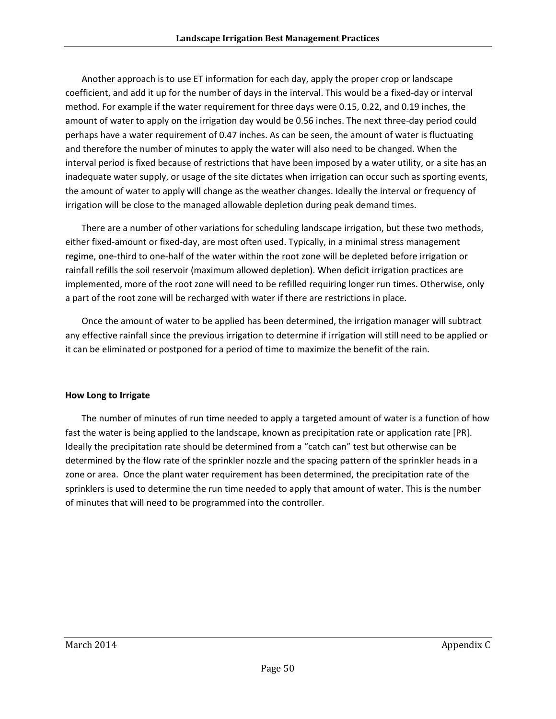Another approach is to use ET information for each day, apply the proper crop or landscape coefficient, and add it up for the number of days in the interval. This would be a fixed‐day or interval method. For example if the water requirement for three days were 0.15, 0.22, and 0.19 inches, the amount of water to apply on the irrigation day would be 0.56 inches. The next three‐day period could perhaps have a water requirement of 0.47 inches. As can be seen, the amount of water is fluctuating and therefore the number of minutes to apply the water will also need to be changed. When the interval period is fixed because of restrictions that have been imposed by a water utility, or a site has an inadequate water supply, or usage of the site dictates when irrigation can occur such as sporting events, the amount of water to apply will change as the weather changes. Ideally the interval or frequency of irrigation will be close to the managed allowable depletion during peak demand times.

There are a number of other variations for scheduling landscape irrigation, but these two methods, either fixed-amount or fixed-day, are most often used. Typically, in a minimal stress management regime, one‐third to one‐half of the water within the root zone will be depleted before irrigation or rainfall refills the soil reservoir (maximum allowed depletion). When deficit irrigation practices are implemented, more of the root zone will need to be refilled requiring longer run times. Otherwise, only a part of the root zone will be recharged with water if there are restrictions in place.

Once the amount of water to be applied has been determined, the irrigation manager will subtract any effective rainfall since the previous irrigation to determine if irrigation will still need to be applied or it can be eliminated or postponed for a period of time to maximize the benefit of the rain.

#### **How Long to Irrigate**

The number of minutes of run time needed to apply a targeted amount of water is a function of how fast the water is being applied to the landscape, known as precipitation rate or application rate [PR]. Ideally the precipitation rate should be determined from a "catch can" test but otherwise can be determined by the flow rate of the sprinkler nozzle and the spacing pattern of the sprinkler heads in a zone or area. Once the plant water requirement has been determined, the precipitation rate of the sprinklers is used to determine the run time needed to apply that amount of water. This is the number of minutes that will need to be programmed into the controller.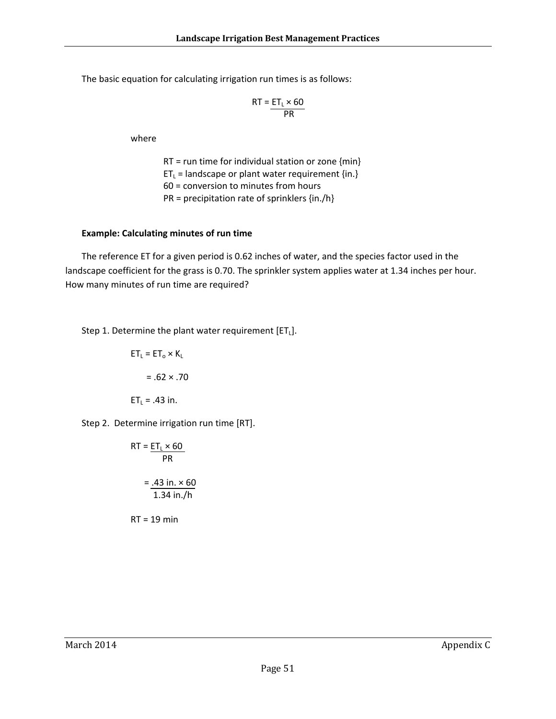The basic equation for calculating irrigation run times is as follows:

$$
RT = \frac{ET_L \times 60}{PR}
$$

where

 $RT = run time for individual station or zone {min}$  $ET_L$  = landscape or plant water requirement {in.} 60 = conversion to minutes from hours PR = precipitation rate of sprinklers {in./h}

#### **Example: Calculating minutes of run time**

The reference ET for a given period is 0.62 inches of water, and the species factor used in the landscape coefficient for the grass is 0.70. The sprinkler system applies water at 1.34 inches per hour. How many minutes of run time are required?

Step 1. Determine the plant water requirement  $[ET_L]$ .

$$
ET_{L} = ET_{o} \times K_{L}
$$

$$
= .62 \times .70
$$

$$
ET_{L} = .43 \text{ in.}
$$

Step 2. Determine irrigation run time [RT].

$$
RT = \frac{ET_L \times 60}{PR}
$$

$$
= .43 \text{ in.} \times 60
$$

$$
= .134 \text{ in.}/h
$$

RT = 19 min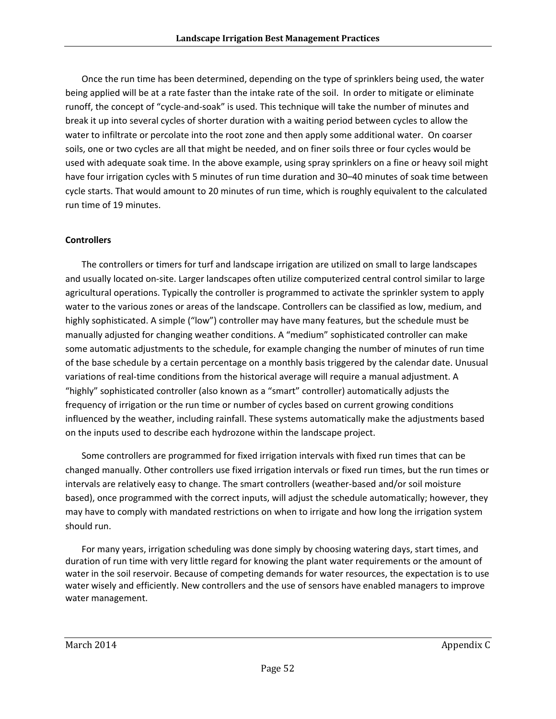Once the run time has been determined, depending on the type of sprinklers being used, the water being applied will be at a rate faster than the intake rate of the soil. In order to mitigate or eliminate runoff, the concept of "cycle‐and‐soak" is used. This technique will take the number of minutes and break it up into several cycles of shorter duration with a waiting period between cycles to allow the water to infiltrate or percolate into the root zone and then apply some additional water. On coarser soils, one or two cycles are all that might be needed, and on finer soils three or four cycles would be used with adequate soak time. In the above example, using spray sprinklers on a fine or heavy soil might have four irrigation cycles with 5 minutes of run time duration and 30–40 minutes of soak time between cycle starts. That would amount to 20 minutes of run time, which is roughly equivalent to the calculated run time of 19 minutes.

#### **Controllers**

The controllers or timers for turf and landscape irrigation are utilized on small to large landscapes and usually located on‐site. Larger landscapes often utilize computerized central control similar to large agricultural operations. Typically the controller is programmed to activate the sprinkler system to apply water to the various zones or areas of the landscape. Controllers can be classified as low, medium, and highly sophisticated. A simple ("low") controller may have many features, but the schedule must be manually adjusted for changing weather conditions. A "medium" sophisticated controller can make some automatic adjustments to the schedule, for example changing the number of minutes of run time of the base schedule by a certain percentage on a monthly basis triggered by the calendar date. Unusual variations of real‐time conditions from the historical average will require a manual adjustment. A "highly" sophisticated controller (also known as a "smart" controller) automatically adjusts the frequency of irrigation or the run time or number of cycles based on current growing conditions influenced by the weather, including rainfall. These systems automatically make the adjustments based on the inputs used to describe each hydrozone within the landscape project.

Some controllers are programmed for fixed irrigation intervals with fixed run times that can be changed manually. Other controllers use fixed irrigation intervals or fixed run times, but the run times or intervals are relatively easy to change. The smart controllers (weather‐based and/or soil moisture based), once programmed with the correct inputs, will adjust the schedule automatically; however, they may have to comply with mandated restrictions on when to irrigate and how long the irrigation system should run.

For many years, irrigation scheduling was done simply by choosing watering days, start times, and duration of run time with very little regard for knowing the plant water requirements or the amount of water in the soil reservoir. Because of competing demands for water resources, the expectation is to use water wisely and efficiently. New controllers and the use of sensors have enabled managers to improve water management.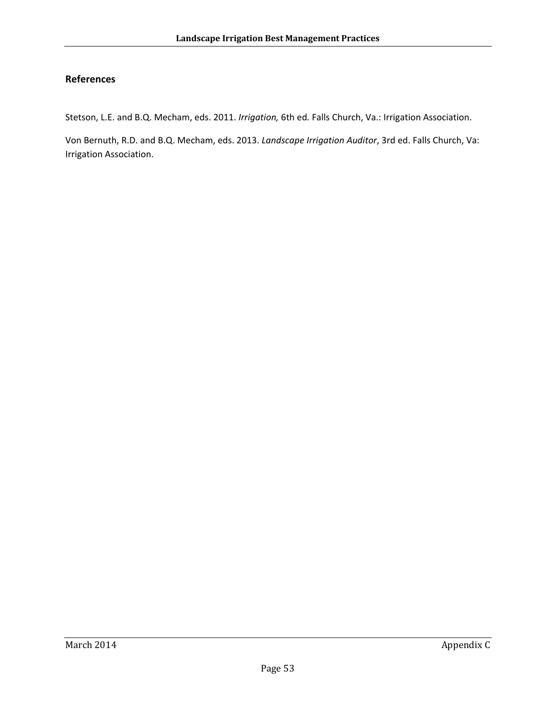#### **References**

Stetson, L.E. and B.Q. Mecham, eds. 2011. *Irrigation,* 6th ed*.* Falls Church, Va.: Irrigation Association.

Von Bernuth, R.D. and B.Q. Mecham, eds. 2013. *Landscape Irrigation Auditor*, 3rd ed. Falls Church, Va: Irrigation Association.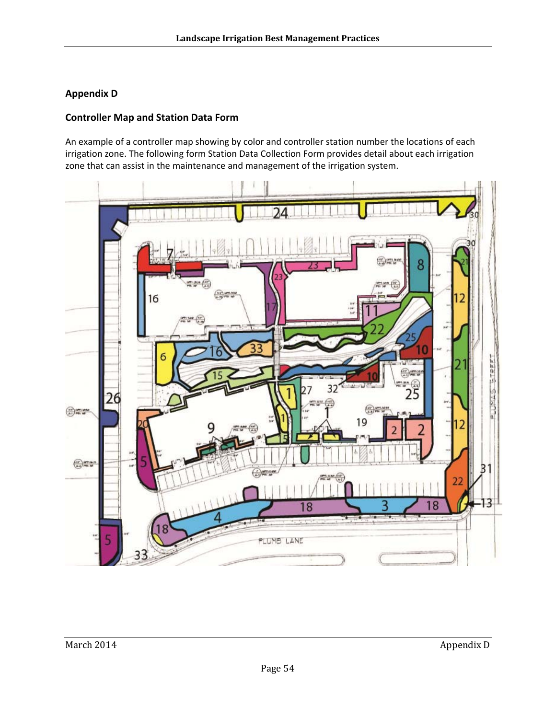### **Appendix D**

#### **Controller Map and Station Data Form**

An example of a controller map showing by color and controller station number the locations of each irrigation zone. The following form Station Data Collection Form provides detail about each irrigation zone that can assist in the maintenance and management of the irrigation system.